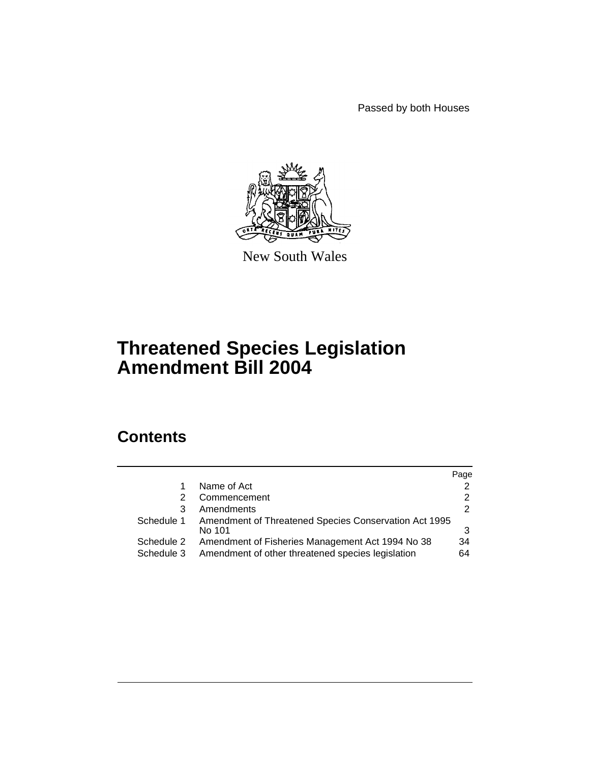Passed by both Houses



New South Wales

# **Threatened Species Legislation Amendment Bill 2004**

# **Contents**

|                          |                                                                                                       | Page     |
|--------------------------|-------------------------------------------------------------------------------------------------------|----------|
|                          | Name of Act                                                                                           | 2        |
| 2                        | Commencement                                                                                          |          |
| 3                        | Amendments                                                                                            | 2        |
| Schedule 1               | Amendment of Threatened Species Conservation Act 1995<br>No 101                                       |          |
| Schedule 2<br>Schedule 3 | Amendment of Fisheries Management Act 1994 No 38<br>Amendment of other threatened species legislation | 34<br>64 |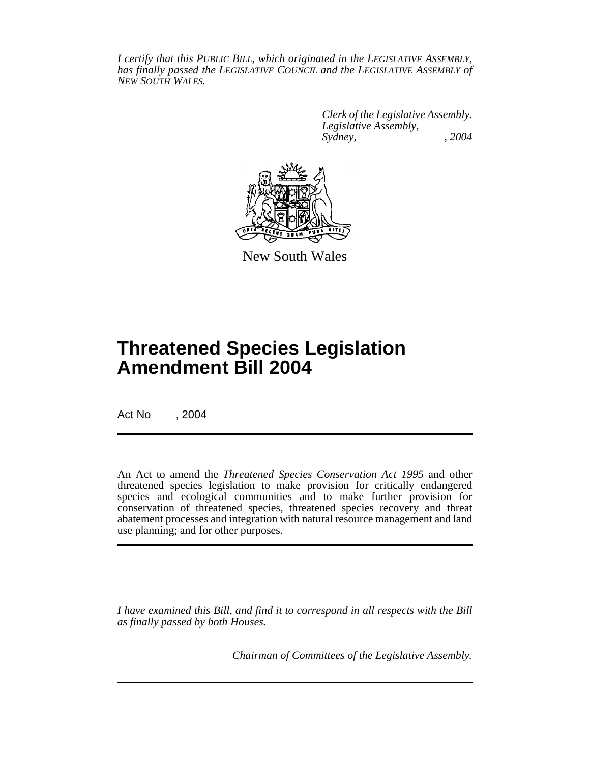*I certify that this PUBLIC BILL, which originated in the LEGISLATIVE ASSEMBLY, has finally passed the LEGISLATIVE COUNCIL and the LEGISLATIVE ASSEMBLY of NEW SOUTH WALES.*

> *Clerk of the Legislative Assembly. Legislative Assembly, Sydney, , 2004*



New South Wales

# **Threatened Species Legislation Amendment Bill 2004**

Act No , 2004

An Act to amend the *Threatened Species Conservation Act 1995* and other threatened species legislation to make provision for critically endangered species and ecological communities and to make further provision for conservation of threatened species, threatened species recovery and threat abatement processes and integration with natural resource management and land use planning; and for other purposes.

*I have examined this Bill, and find it to correspond in all respects with the Bill as finally passed by both Houses.*

*Chairman of Committees of the Legislative Assembly.*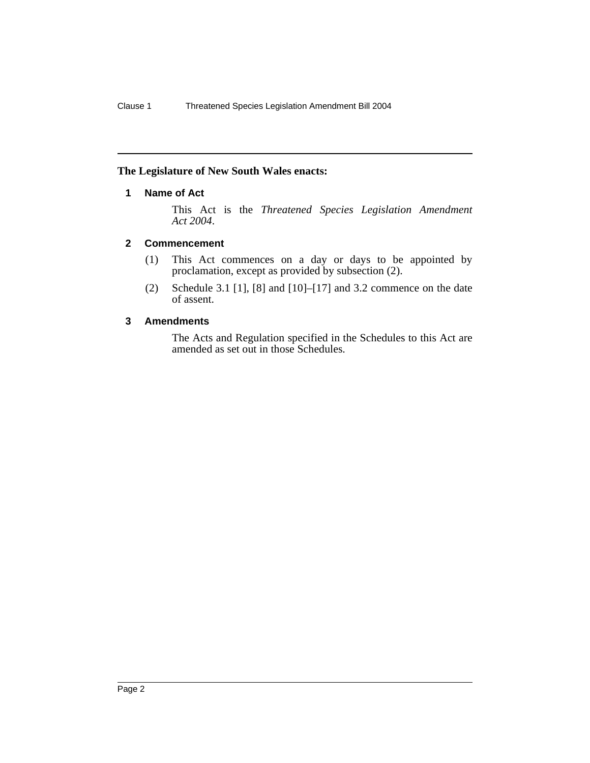#### <span id="page-2-0"></span>**The Legislature of New South Wales enacts:**

### **1 Name of Act**

This Act is the *Threatened Species Legislation Amendment Act 2004*.

#### <span id="page-2-1"></span>**2 Commencement**

- (1) This Act commences on a day or days to be appointed by proclamation, except as provided by subsection (2).
- (2) Schedule 3.1 [1], [8] and [10]–[17] and 3.2 commence on the date of assent.

#### <span id="page-2-2"></span>**3 Amendments**

The Acts and Regulation specified in the Schedules to this Act are amended as set out in those Schedules.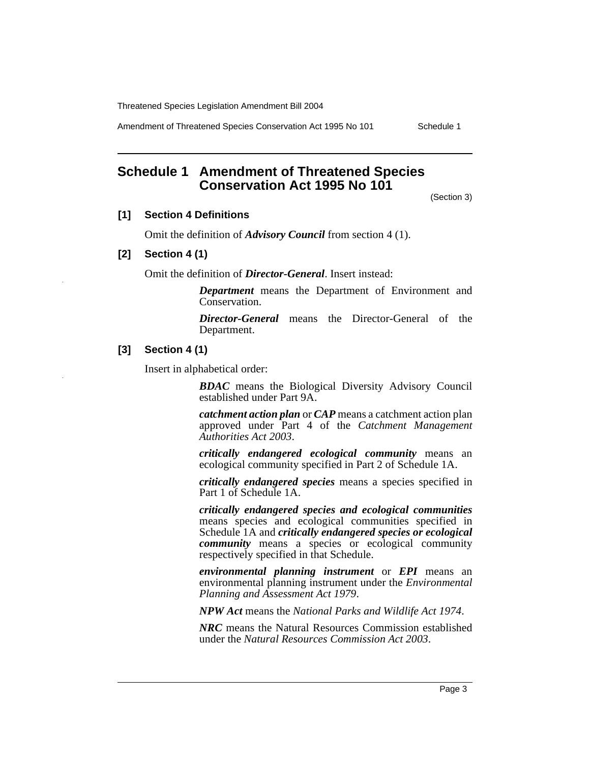Amendment of Threatened Species Conservation Act 1995 No 101 Schedule 1

# <span id="page-3-0"></span>**Schedule 1 Amendment of Threatened Species Conservation Act 1995 No 101**

(Section 3)

#### **[1] Section 4 Definitions**

Omit the definition of *Advisory Council* from section 4 (1).

#### **[2] Section 4 (1)**

Omit the definition of *Director-General*. Insert instead:

*Department* means the Department of Environment and Conservation.

*Director-General* means the Director-General of the Department.

## **[3] Section 4 (1)**

Insert in alphabetical order:

*BDAC* means the Biological Diversity Advisory Council established under Part 9A.

*catchment action plan* or *CAP* means a catchment action plan approved under Part 4 of the *Catchment Management Authorities Act 2003*.

*critically endangered ecological community* means an ecological community specified in Part 2 of Schedule 1A.

*critically endangered species* means a species specified in Part 1 of Schedule 1A.

*critically endangered species and ecological communities* means species and ecological communities specified in Schedule 1A and *critically endangered species or ecological community* means a species or ecological community respectively specified in that Schedule.

*environmental planning instrument* or *EPI* means an environmental planning instrument under the *Environmental Planning and Assessment Act 1979*.

*NPW Act* means the *National Parks and Wildlife Act 1974*.

*NRC* means the Natural Resources Commission established under the *Natural Resources Commission Act 2003*.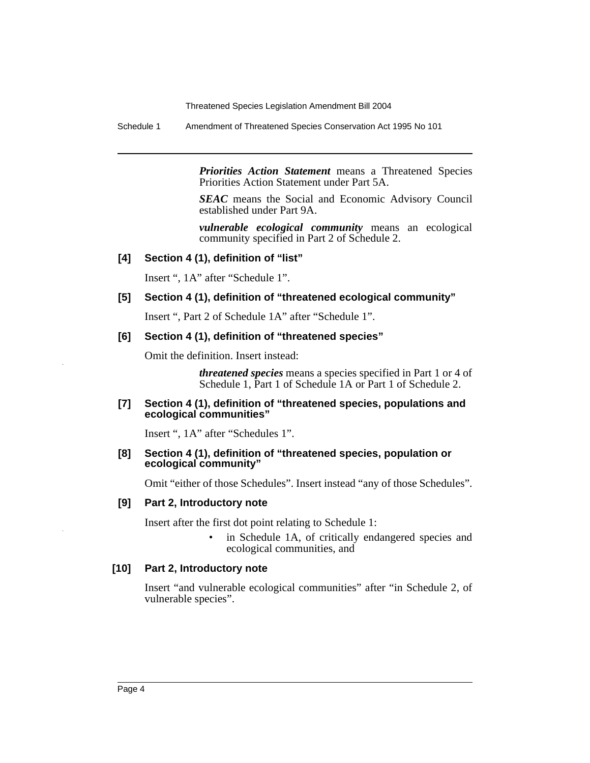Schedule 1 Amendment of Threatened Species Conservation Act 1995 No 101

*Priorities Action Statement* means a Threatened Species Priorities Action Statement under Part 5A.

*SEAC* means the Social and Economic Advisory Council established under Part 9A.

*vulnerable ecological community* means an ecological community specified in Part 2 of Schedule 2.

#### **[4] Section 4 (1), definition of "list"**

Insert ", 1A" after "Schedule 1".

## **[5] Section 4 (1), definition of "threatened ecological community"**

Insert ", Part 2 of Schedule 1A" after "Schedule 1".

#### **[6] Section 4 (1), definition of "threatened species"**

Omit the definition. Insert instead:

*threatened species* means a species specified in Part 1 or 4 of Schedule 1, Part 1 of Schedule 1A or Part 1 of Schedule 2.

#### **[7] Section 4 (1), definition of "threatened species, populations and ecological communities"**

Insert ", 1A" after "Schedules 1".

#### **[8] Section 4 (1), definition of "threatened species, population or ecological community"**

Omit "either of those Schedules". Insert instead "any of those Schedules".

#### **[9] Part 2, Introductory note**

Insert after the first dot point relating to Schedule 1:

in Schedule 1A, of critically endangered species and ecological communities, and

#### **[10] Part 2, Introductory note**

Insert "and vulnerable ecological communities" after "in Schedule 2, of vulnerable species".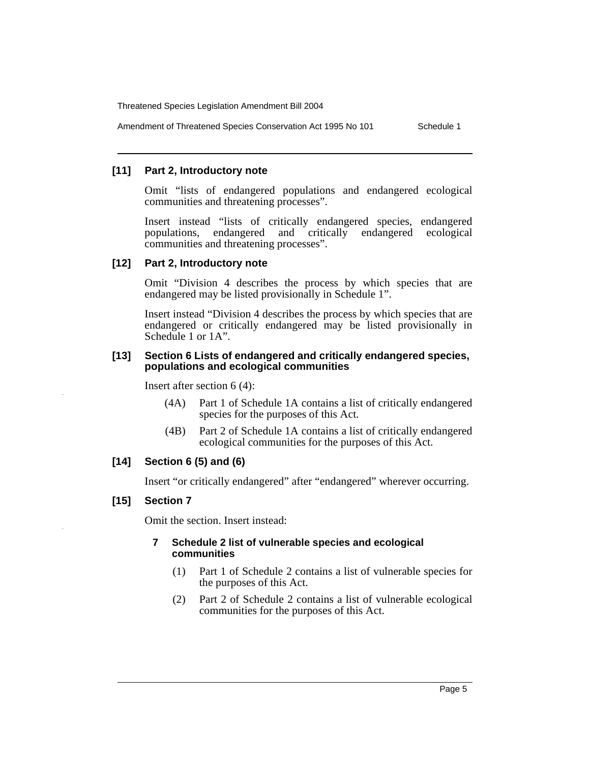Amendment of Threatened Species Conservation Act 1995 No 101 Schedule 1

#### **[11] Part 2, Introductory note**

Omit "lists of endangered populations and endangered ecological communities and threatening processes".

Insert instead "lists of critically endangered species, endangered populations, endangered and critically endangered ecological communities and threatening processes".

#### **[12] Part 2, Introductory note**

Omit "Division 4 describes the process by which species that are endangered may be listed provisionally in Schedule 1".

Insert instead "Division 4 describes the process by which species that are endangered or critically endangered may be listed provisionally in Schedule 1 or 1A".

#### **[13] Section 6 Lists of endangered and critically endangered species, populations and ecological communities**

Insert after section 6 (4):

- (4A) Part 1 of Schedule 1A contains a list of critically endangered species for the purposes of this Act.
- (4B) Part 2 of Schedule 1A contains a list of critically endangered ecological communities for the purposes of this Act.

## **[14] Section 6 (5) and (6)**

Insert "or critically endangered" after "endangered" wherever occurring.

#### **[15] Section 7**

Omit the section. Insert instead:

#### **7 Schedule 2 list of vulnerable species and ecological communities**

- (1) Part 1 of Schedule 2 contains a list of vulnerable species for the purposes of this Act.
- (2) Part 2 of Schedule 2 contains a list of vulnerable ecological communities for the purposes of this Act.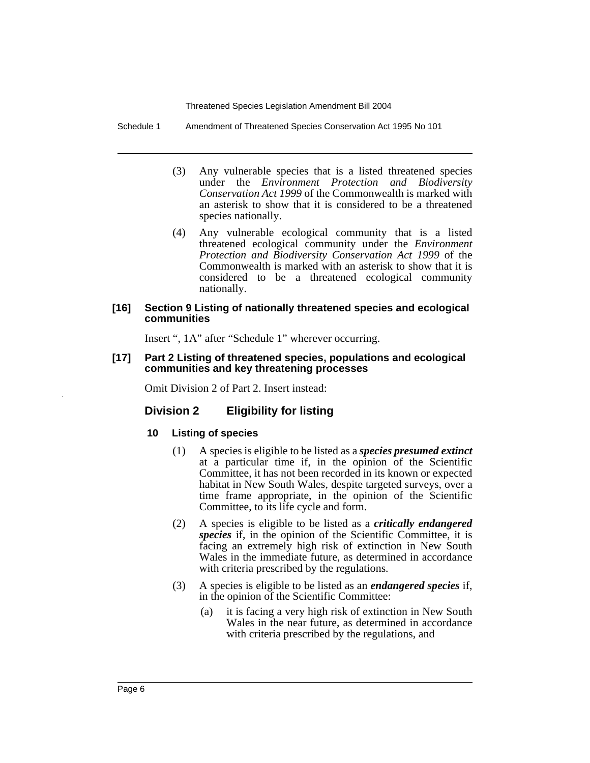Schedule 1 Amendment of Threatened Species Conservation Act 1995 No 101

- (3) Any vulnerable species that is a listed threatened species under the *Environment Protection and Biodiversity Conservation Act 1999* of the Commonwealth is marked with an asterisk to show that it is considered to be a threatened species nationally.
- (4) Any vulnerable ecological community that is a listed threatened ecological community under the *Environment Protection and Biodiversity Conservation Act 1999* of the Commonwealth is marked with an asterisk to show that it is considered to be a threatened ecological community nationally.

#### **[16] Section 9 Listing of nationally threatened species and ecological communities**

Insert ", 1A" after "Schedule 1" wherever occurring.

#### **[17] Part 2 Listing of threatened species, populations and ecological communities and key threatening processes**

Omit Division 2 of Part 2. Insert instead:

#### **Division 2 Eligibility for listing**

#### **10 Listing of species**

- (1) A species is eligible to be listed as a *species presumed extinct* at a particular time if, in the opinion of the Scientific Committee, it has not been recorded in its known or expected habitat in New South Wales, despite targeted surveys, over a time frame appropriate, in the opinion of the Scientific Committee, to its life cycle and form.
- (2) A species is eligible to be listed as a *critically endangered species* if, in the opinion of the Scientific Committee, it is facing an extremely high risk of extinction in New South Wales in the immediate future, as determined in accordance with criteria prescribed by the regulations.
- (3) A species is eligible to be listed as an *endangered species* if, in the opinion of the Scientific Committee:
	- (a) it is facing a very high risk of extinction in New South Wales in the near future, as determined in accordance with criteria prescribed by the regulations, and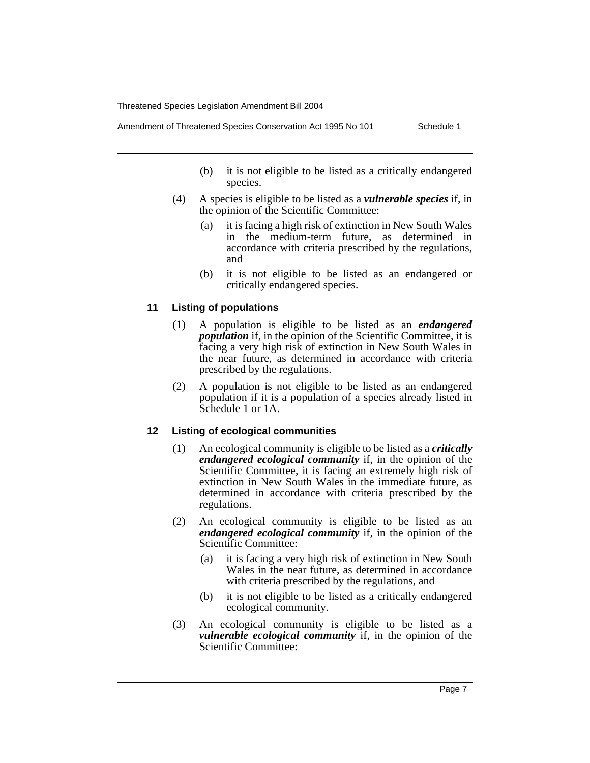Amendment of Threatened Species Conservation Act 1995 No 101 Schedule 1

- (b) it is not eligible to be listed as a critically endangered species.
- (4) A species is eligible to be listed as a *vulnerable species* if, in the opinion of the Scientific Committee:
	- (a) it is facing a high risk of extinction in New South Wales in the medium-term future, as determined in accordance with criteria prescribed by the regulations, and
	- (b) it is not eligible to be listed as an endangered or critically endangered species.

## **11 Listing of populations**

- (1) A population is eligible to be listed as an *endangered population* if, in the opinion of the Scientific Committee, it is facing a very high risk of extinction in New South Wales in the near future, as determined in accordance with criteria prescribed by the regulations.
- (2) A population is not eligible to be listed as an endangered population if it is a population of a species already listed in Schedule 1 or 1A.

#### **12 Listing of ecological communities**

- (1) An ecological community is eligible to be listed as a *critically endangered ecological community* if, in the opinion of the Scientific Committee, it is facing an extremely high risk of extinction in New South Wales in the immediate future, as determined in accordance with criteria prescribed by the regulations.
- (2) An ecological community is eligible to be listed as an *endangered ecological community* if, in the opinion of the Scientific Committee:
	- (a) it is facing a very high risk of extinction in New South Wales in the near future, as determined in accordance with criteria prescribed by the regulations, and
	- (b) it is not eligible to be listed as a critically endangered ecological community.
- (3) An ecological community is eligible to be listed as a *vulnerable ecological community* if, in the opinion of the Scientific Committee: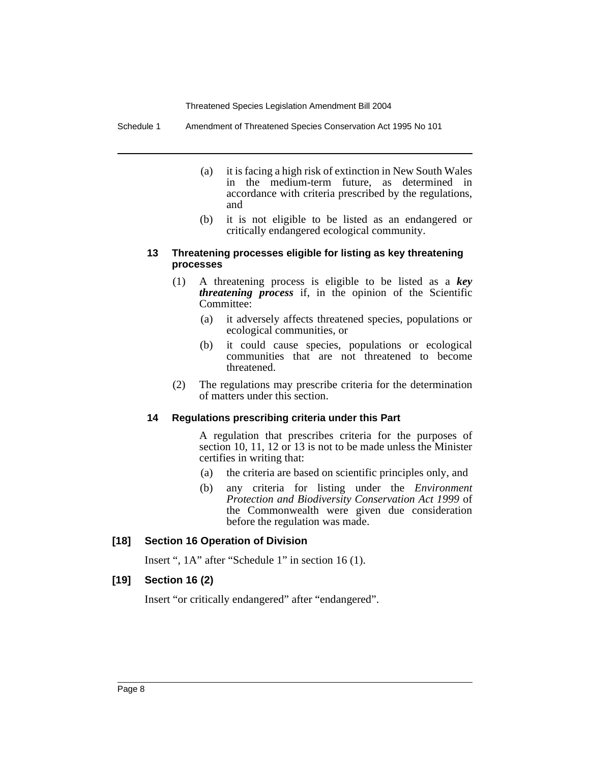Schedule 1 Amendment of Threatened Species Conservation Act 1995 No 101

- (a) it is facing a high risk of extinction in New South Wales in the medium-term future, as determined in accordance with criteria prescribed by the regulations, and
- (b) it is not eligible to be listed as an endangered or critically endangered ecological community.

#### **13 Threatening processes eligible for listing as key threatening processes**

- (1) A threatening process is eligible to be listed as a *key threatening process* if, in the opinion of the Scientific Committee:
	- (a) it adversely affects threatened species, populations or ecological communities, or
	- (b) it could cause species, populations or ecological communities that are not threatened to become threatened.
- (2) The regulations may prescribe criteria for the determination of matters under this section.

#### **14 Regulations prescribing criteria under this Part**

A regulation that prescribes criteria for the purposes of section 10, 11, 12 or 13 is not to be made unless the Minister certifies in writing that:

- (a) the criteria are based on scientific principles only, and
- (b) any criteria for listing under the *Environment Protection and Biodiversity Conservation Act 1999* of the Commonwealth were given due consideration before the regulation was made.

#### **[18] Section 16 Operation of Division**

Insert ", 1A" after "Schedule 1" in section 16 (1).

#### **[19] Section 16 (2)**

Insert "or critically endangered" after "endangered".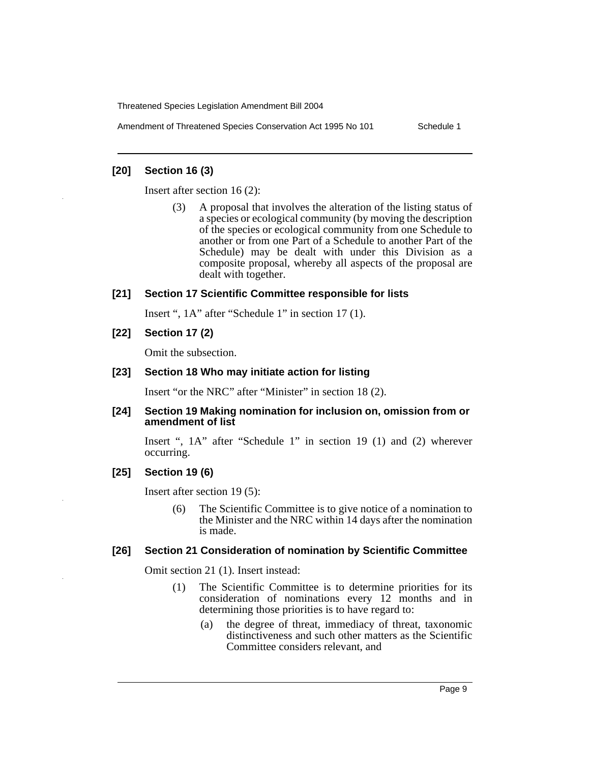Amendment of Threatened Species Conservation Act 1995 No 101 Schedule 1

#### **[20] Section 16 (3)**

Insert after section 16 (2):

(3) A proposal that involves the alteration of the listing status of a species or ecological community (by moving the description of the species or ecological community from one Schedule to another or from one Part of a Schedule to another Part of the Schedule) may be dealt with under this Division as a composite proposal, whereby all aspects of the proposal are dealt with together.

#### **[21] Section 17 Scientific Committee responsible for lists**

Insert ", 1A" after "Schedule 1" in section 17 (1).

**[22] Section 17 (2)**

Omit the subsection.

#### **[23] Section 18 Who may initiate action for listing**

Insert "or the NRC" after "Minister" in section 18 (2).

#### **[24] Section 19 Making nomination for inclusion on, omission from or amendment of list**

Insert ", 1A" after "Schedule 1" in section 19 (1) and (2) wherever occurring.

#### **[25] Section 19 (6)**

Insert after section 19 (5):

(6) The Scientific Committee is to give notice of a nomination to the Minister and the NRC within 14 days after the nomination is made.

#### **[26] Section 21 Consideration of nomination by Scientific Committee**

Omit section 21 (1). Insert instead:

- (1) The Scientific Committee is to determine priorities for its consideration of nominations every 12 months and in determining those priorities is to have regard to:
	- (a) the degree of threat, immediacy of threat, taxonomic distinctiveness and such other matters as the Scientific Committee considers relevant, and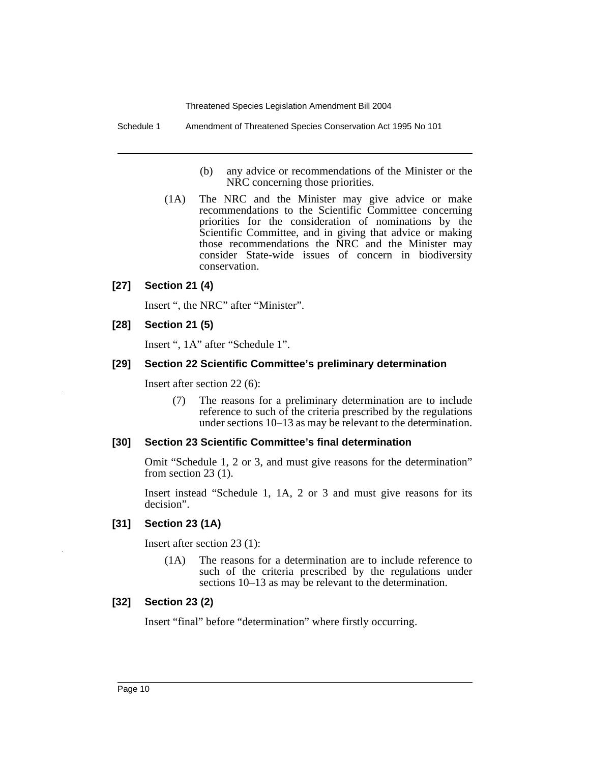Schedule 1 Amendment of Threatened Species Conservation Act 1995 No 101

- (b) any advice or recommendations of the Minister or the NRC concerning those priorities.
- (1A) The NRC and the Minister may give advice or make recommendations to the Scientific Committee concerning priorities for the consideration of nominations by the Scientific Committee, and in giving that advice or making those recommendations the NRC and the Minister may consider State-wide issues of concern in biodiversity conservation.

#### **[27] Section 21 (4)**

Insert ", the NRC" after "Minister".

#### **[28] Section 21 (5)**

Insert ", 1A" after "Schedule 1".

#### **[29] Section 22 Scientific Committee's preliminary determination**

Insert after section 22 (6):

(7) The reasons for a preliminary determination are to include reference to such of the criteria prescribed by the regulations under sections 10–13 as may be relevant to the determination.

#### **[30] Section 23 Scientific Committee's final determination**

Omit "Schedule 1, 2 or 3, and must give reasons for the determination" from section 23 (1).

Insert instead "Schedule 1, 1A, 2 or 3 and must give reasons for its decision".

#### **[31] Section 23 (1A)**

Insert after section 23 (1):

(1A) The reasons for a determination are to include reference to such of the criteria prescribed by the regulations under sections 10–13 as may be relevant to the determination.

#### **[32] Section 23 (2)**

Insert "final" before "determination" where firstly occurring.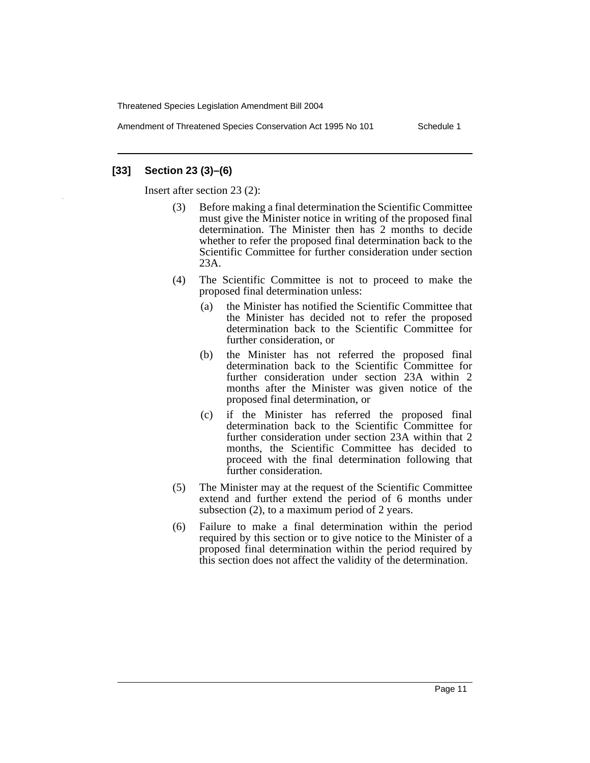Amendment of Threatened Species Conservation Act 1995 No 101 Schedule 1

## **[33] Section 23 (3)–(6)**

Insert after section 23 (2):

- (3) Before making a final determination the Scientific Committee must give the Minister notice in writing of the proposed final determination. The Minister then has 2 months to decide whether to refer the proposed final determination back to the Scientific Committee for further consideration under section 23A.
- (4) The Scientific Committee is not to proceed to make the proposed final determination unless:
	- (a) the Minister has notified the Scientific Committee that the Minister has decided not to refer the proposed determination back to the Scientific Committee for further consideration, or
	- (b) the Minister has not referred the proposed final determination back to the Scientific Committee for further consideration under section 23A within 2 months after the Minister was given notice of the proposed final determination, or
	- (c) if the Minister has referred the proposed final determination back to the Scientific Committee for further consideration under section 23A within that 2 months, the Scientific Committee has decided to proceed with the final determination following that further consideration.
- (5) The Minister may at the request of the Scientific Committee extend and further extend the period of 6 months under subsection (2), to a maximum period of 2 years.
- (6) Failure to make a final determination within the period required by this section or to give notice to the Minister of a proposed final determination within the period required by this section does not affect the validity of the determination.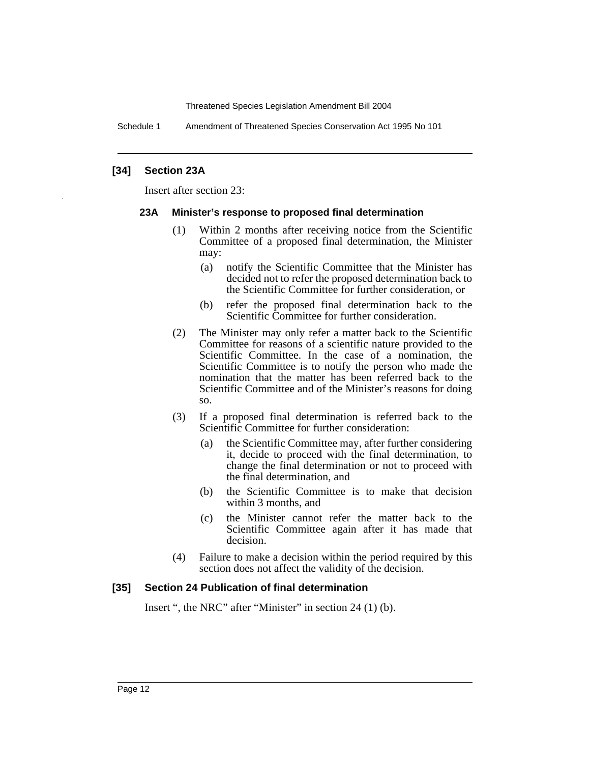Schedule 1 Amendment of Threatened Species Conservation Act 1995 No 101

#### **[34] Section 23A**

Insert after section 23:

#### **23A Minister's response to proposed final determination**

- (1) Within 2 months after receiving notice from the Scientific Committee of a proposed final determination, the Minister may:
	- (a) notify the Scientific Committee that the Minister has decided not to refer the proposed determination back to the Scientific Committee for further consideration, or
	- (b) refer the proposed final determination back to the Scientific Committee for further consideration.
- (2) The Minister may only refer a matter back to the Scientific Committee for reasons of a scientific nature provided to the Scientific Committee. In the case of a nomination, the Scientific Committee is to notify the person who made the nomination that the matter has been referred back to the Scientific Committee and of the Minister's reasons for doing so.
- (3) If a proposed final determination is referred back to the Scientific Committee for further consideration:
	- (a) the Scientific Committee may, after further considering it, decide to proceed with the final determination, to change the final determination or not to proceed with the final determination, and
	- (b) the Scientific Committee is to make that decision within 3 months, and
	- (c) the Minister cannot refer the matter back to the Scientific Committee again after it has made that decision.
- (4) Failure to make a decision within the period required by this section does not affect the validity of the decision.

#### **[35] Section 24 Publication of final determination**

Insert ", the NRC" after "Minister" in section 24 (1) (b).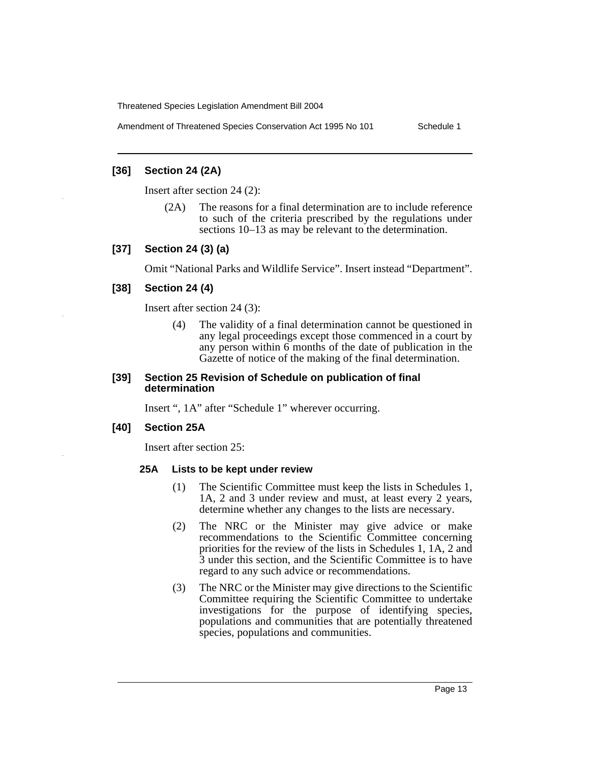Amendment of Threatened Species Conservation Act 1995 No 101 Schedule 1

#### **[36] Section 24 (2A)**

Insert after section 24 (2):

(2A) The reasons for a final determination are to include reference to such of the criteria prescribed by the regulations under sections 10–13 as may be relevant to the determination.

## **[37] Section 24 (3) (a)**

Omit "National Parks and Wildlife Service". Insert instead "Department".

#### **[38] Section 24 (4)**

Insert after section 24 (3):

(4) The validity of a final determination cannot be questioned in any legal proceedings except those commenced in a court by any person within 6 months of the date of publication in the Gazette of notice of the making of the final determination.

#### **[39] Section 25 Revision of Schedule on publication of final determination**

Insert ", 1A" after "Schedule 1" wherever occurring.

#### **[40] Section 25A**

Insert after section 25:

#### **25A Lists to be kept under review**

- (1) The Scientific Committee must keep the lists in Schedules 1, 1A, 2 and 3 under review and must, at least every 2 years, determine whether any changes to the lists are necessary.
- (2) The NRC or the Minister may give advice or make recommendations to the Scientific Committee concerning priorities for the review of the lists in Schedules 1, 1A, 2 and 3 under this section, and the Scientific Committee is to have regard to any such advice or recommendations.
- (3) The NRC or the Minister may give directions to the Scientific Committee requiring the Scientific Committee to undertake investigations for the purpose of identifying species, populations and communities that are potentially threatened species, populations and communities.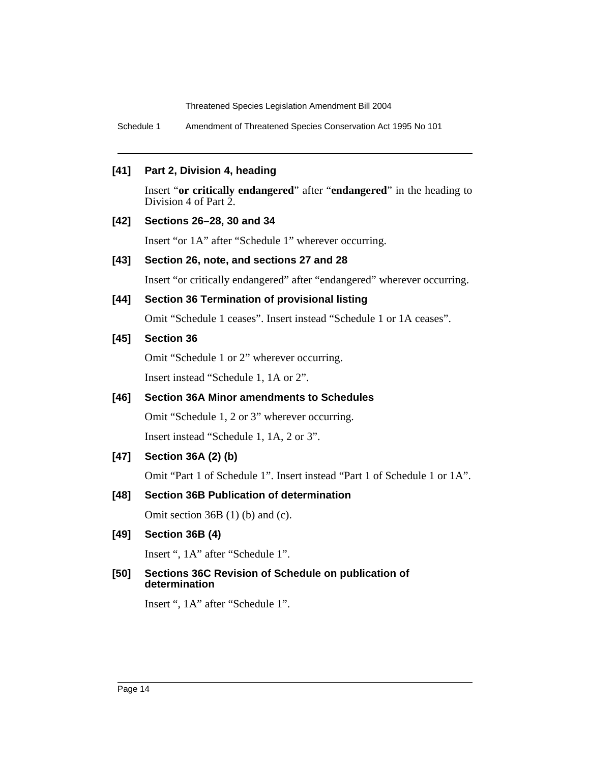Schedule 1 Amendment of Threatened Species Conservation Act 1995 No 101

#### **[41] Part 2, Division 4, heading**

Insert "**or critically endangered**" after "**endangered**" in the heading to Division 4 of Part 2.

#### **[42] Sections 26–28, 30 and 34**

Insert "or 1A" after "Schedule 1" wherever occurring.

#### **[43] Section 26, note, and sections 27 and 28**

Insert "or critically endangered" after "endangered" wherever occurring.

## **[44] Section 36 Termination of provisional listing**

Omit "Schedule 1 ceases". Insert instead "Schedule 1 or 1A ceases".

#### **[45] Section 36**

Omit "Schedule 1 or 2" wherever occurring.

Insert instead "Schedule 1, 1A or 2".

# **[46] Section 36A Minor amendments to Schedules**

Omit "Schedule 1, 2 or 3" wherever occurring.

Insert instead "Schedule 1, 1A, 2 or 3".

# **[47] Section 36A (2) (b)**

Omit "Part 1 of Schedule 1". Insert instead "Part 1 of Schedule 1 or 1A".

# **[48] Section 36B Publication of determination**

Omit section 36B (1) (b) and (c).

#### **[49] Section 36B (4)**

Insert ", 1A" after "Schedule 1".

#### **[50] Sections 36C Revision of Schedule on publication of determination**

Insert ", 1A" after "Schedule 1".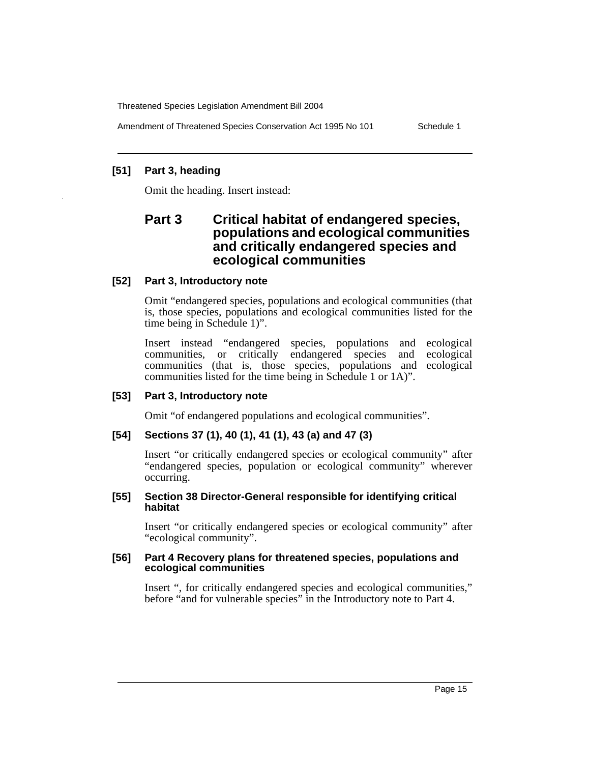Amendment of Threatened Species Conservation Act 1995 No 101 Schedule 1

# **[51] Part 3, heading**

Omit the heading. Insert instead:

# **Part 3 Critical habitat of endangered species, populations and ecological communities and critically endangered species and ecological communities**

# **[52] Part 3, Introductory note**

Omit "endangered species, populations and ecological communities (that is, those species, populations and ecological communities listed for the time being in Schedule 1)".

Insert instead "endangered species, populations and ecological communities, or critically endangered species and ecological communities (that is, those species, populations and ecological communities listed for the time being in Schedule 1 or 1A)".

# **[53] Part 3, Introductory note**

Omit "of endangered populations and ecological communities".

# **[54] Sections 37 (1), 40 (1), 41 (1), 43 (a) and 47 (3)**

Insert "or critically endangered species or ecological community" after "endangered species, population or ecological community" wherever occurring.

#### **[55] Section 38 Director-General responsible for identifying critical habitat**

Insert "or critically endangered species or ecological community" after "ecological community".

#### **[56] Part 4 Recovery plans for threatened species, populations and ecological communities**

Insert ", for critically endangered species and ecological communities," before "and for vulnerable species" in the Introductory note to Part 4.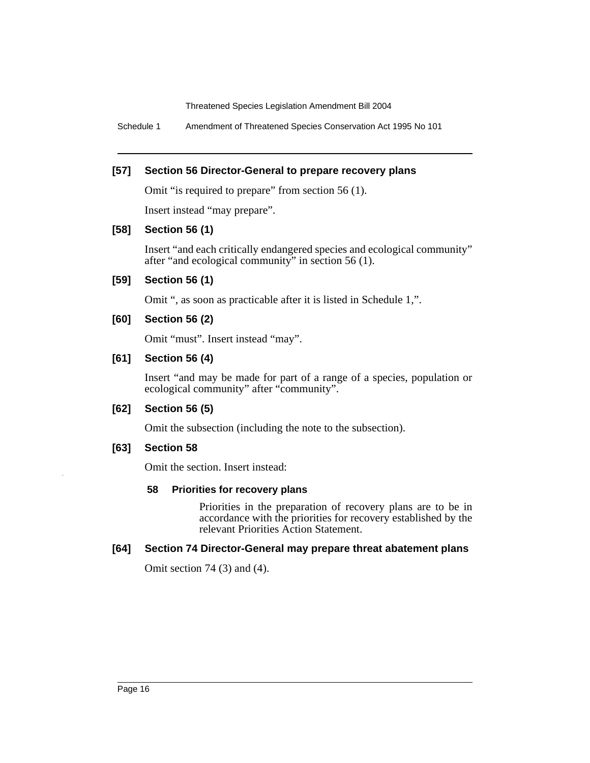Schedule 1 Amendment of Threatened Species Conservation Act 1995 No 101

#### **[57] Section 56 Director-General to prepare recovery plans**

Omit "is required to prepare" from section 56 (1).

Insert instead "may prepare".

#### **[58] Section 56 (1)**

Insert "and each critically endangered species and ecological community" after "and ecological community" in section 56 (1).

## **[59] Section 56 (1)**

Omit ", as soon as practicable after it is listed in Schedule 1,".

#### **[60] Section 56 (2)**

Omit "must". Insert instead "may".

#### **[61] Section 56 (4)**

Insert "and may be made for part of a range of a species, population or ecological community" after "community".

#### **[62] Section 56 (5)**

Omit the subsection (including the note to the subsection).

#### **[63] Section 58**

Omit the section. Insert instead:

#### **58 Priorities for recovery plans**

Priorities in the preparation of recovery plans are to be in accordance with the priorities for recovery established by the relevant Priorities Action Statement.

#### **[64] Section 74 Director-General may prepare threat abatement plans**

Omit section 74 (3) and (4).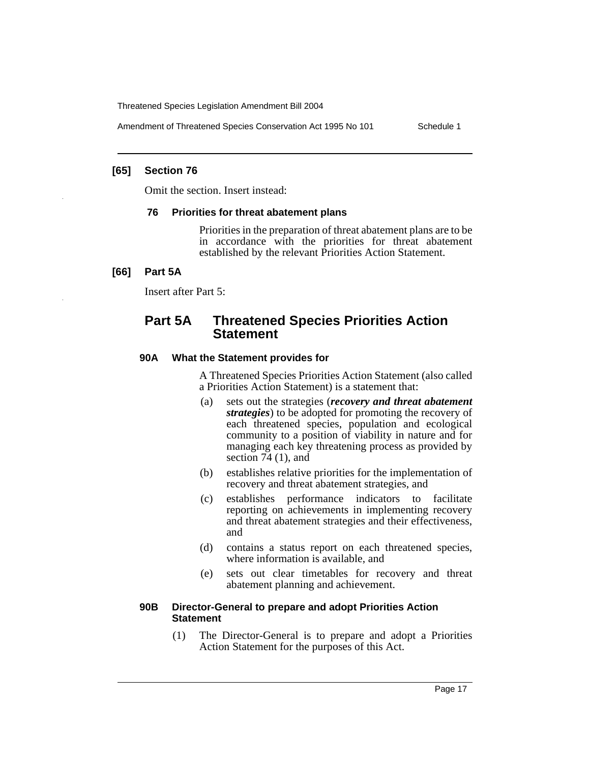Amendment of Threatened Species Conservation Act 1995 No 101 Schedule 1

#### **[65] Section 76**

Omit the section. Insert instead:

#### **76 Priorities for threat abatement plans**

Priorities in the preparation of threat abatement plans are to be in accordance with the priorities for threat abatement established by the relevant Priorities Action Statement.

#### **[66] Part 5A**

Insert after Part 5:

# **Part 5A Threatened Species Priorities Action Statement**

#### **90A What the Statement provides for**

A Threatened Species Priorities Action Statement (also called a Priorities Action Statement) is a statement that:

- (a) sets out the strategies (*recovery and threat abatement strategies*) to be adopted for promoting the recovery of each threatened species, population and ecological community to a position of viability in nature and for managing each key threatening process as provided by section 74 (1), and
- (b) establishes relative priorities for the implementation of recovery and threat abatement strategies, and
- (c) establishes performance indicators to facilitate reporting on achievements in implementing recovery and threat abatement strategies and their effectiveness, and
- (d) contains a status report on each threatened species, where information is available, and
- (e) sets out clear timetables for recovery and threat abatement planning and achievement.

#### **90B Director-General to prepare and adopt Priorities Action Statement**

(1) The Director-General is to prepare and adopt a Priorities Action Statement for the purposes of this Act.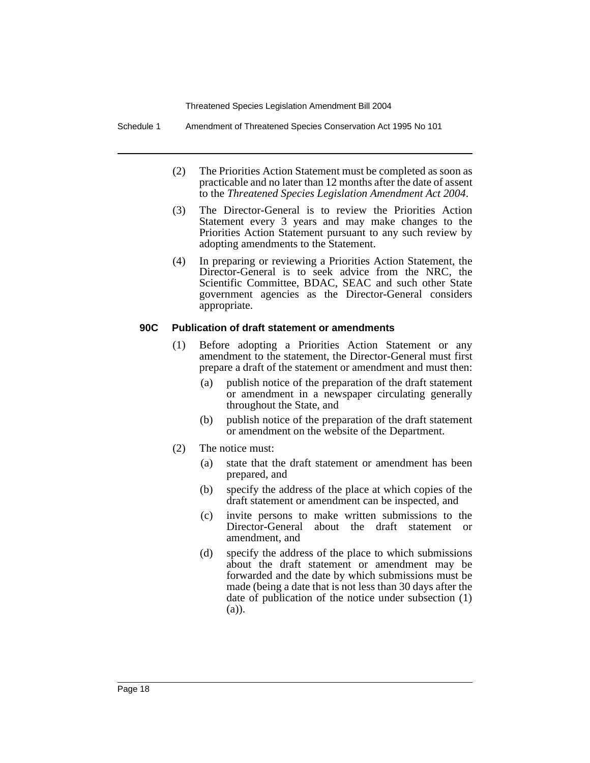Schedule 1 Amendment of Threatened Species Conservation Act 1995 No 101

- (2) The Priorities Action Statement must be completed as soon as practicable and no later than 12 months after the date of assent to the *Threatened Species Legislation Amendment Act 2004*.
- (3) The Director-General is to review the Priorities Action Statement every 3 years and may make changes to the Priorities Action Statement pursuant to any such review by adopting amendments to the Statement.
- (4) In preparing or reviewing a Priorities Action Statement, the Director-General is to seek advice from the NRC, the Scientific Committee, BDAC, SEAC and such other State government agencies as the Director-General considers appropriate.

#### **90C Publication of draft statement or amendments**

- (1) Before adopting a Priorities Action Statement or any amendment to the statement, the Director-General must first prepare a draft of the statement or amendment and must then:
	- (a) publish notice of the preparation of the draft statement or amendment in a newspaper circulating generally throughout the State, and
	- (b) publish notice of the preparation of the draft statement or amendment on the website of the Department.
- (2) The notice must:
	- (a) state that the draft statement or amendment has been prepared, and
	- (b) specify the address of the place at which copies of the draft statement or amendment can be inspected, and
	- (c) invite persons to make written submissions to the Director-General about the draft statement or amendment, and
	- (d) specify the address of the place to which submissions about the draft statement or amendment may be forwarded and the date by which submissions must be made (being a date that is not less than 30 days after the date of publication of the notice under subsection (1) (a)).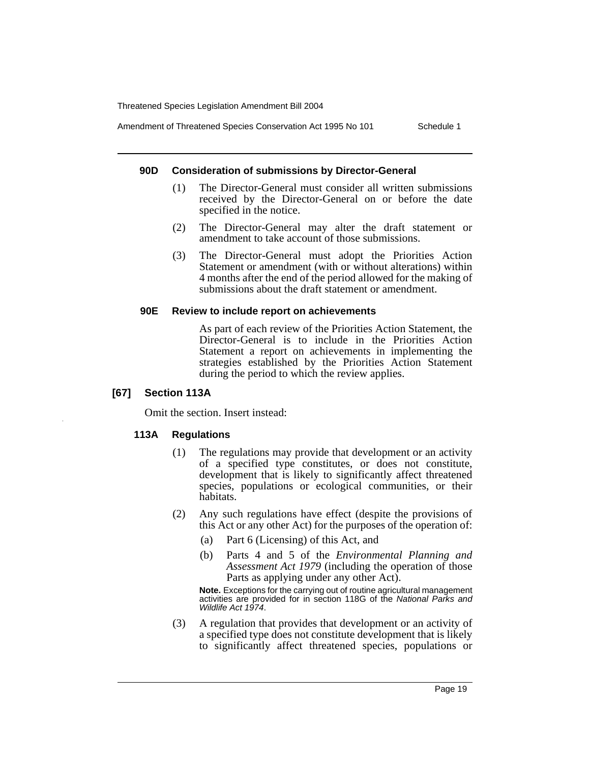Amendment of Threatened Species Conservation Act 1995 No 101 Schedule 1

#### **90D Consideration of submissions by Director-General**

- (1) The Director-General must consider all written submissions received by the Director-General on or before the date specified in the notice.
- (2) The Director-General may alter the draft statement or amendment to take account of those submissions.
- (3) The Director-General must adopt the Priorities Action Statement or amendment (with or without alterations) within 4 months after the end of the period allowed for the making of submissions about the draft statement or amendment.

#### **90E Review to include report on achievements**

As part of each review of the Priorities Action Statement, the Director-General is to include in the Priorities Action Statement a report on achievements in implementing the strategies established by the Priorities Action Statement during the period to which the review applies.

#### **[67] Section 113A**

Omit the section. Insert instead:

#### **113A Regulations**

- (1) The regulations may provide that development or an activity of a specified type constitutes, or does not constitute, development that is likely to significantly affect threatened species, populations or ecological communities, or their habitats.
- (2) Any such regulations have effect (despite the provisions of this Act or any other Act) for the purposes of the operation of:
	- (a) Part 6 (Licensing) of this Act, and
	- (b) Parts 4 and 5 of the *Environmental Planning and Assessment Act 1979* (including the operation of those Parts as applying under any other Act).

**Note.** Exceptions for the carrying out of routine agricultural management activities are provided for in section 118G of the National Parks and Wildlife Act 1974.

(3) A regulation that provides that development or an activity of a specified type does not constitute development that is likely to significantly affect threatened species, populations or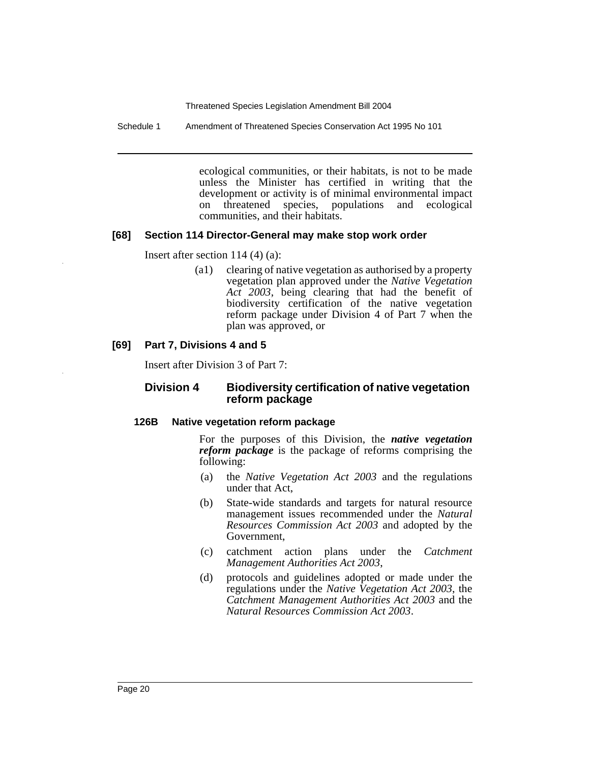Schedule 1 Amendment of Threatened Species Conservation Act 1995 No 101

ecological communities, or their habitats, is not to be made unless the Minister has certified in writing that the development or activity is of minimal environmental impact<br>on threatened species, populations and ecological on threatened species, populations and ecological communities, and their habitats.

#### **[68] Section 114 Director-General may make stop work order**

Insert after section 114 (4) (a):

(a1) clearing of native vegetation as authorised by a property vegetation plan approved under the *Native Vegetation Act 2003*, being clearing that had the benefit of biodiversity certification of the native vegetation reform package under Division 4 of Part 7 when the plan was approved, or

#### **[69] Part 7, Divisions 4 and 5**

Insert after Division 3 of Part 7:

#### **Division 4 Biodiversity certification of native vegetation reform package**

#### **126B Native vegetation reform package**

For the purposes of this Division, the *native vegetation reform package* is the package of reforms comprising the following:

- (a) the *Native Vegetation Act 2003* and the regulations under that Act,
- (b) State-wide standards and targets for natural resource management issues recommended under the *Natural Resources Commission Act 2003* and adopted by the Government,
- (c) catchment action plans under the *Catchment Management Authorities Act 2003*,
- (d) protocols and guidelines adopted or made under the regulations under the *Native Vegetation Act 2003*, the *Catchment Management Authorities Act 2003* and the *Natural Resources Commission Act 2003*.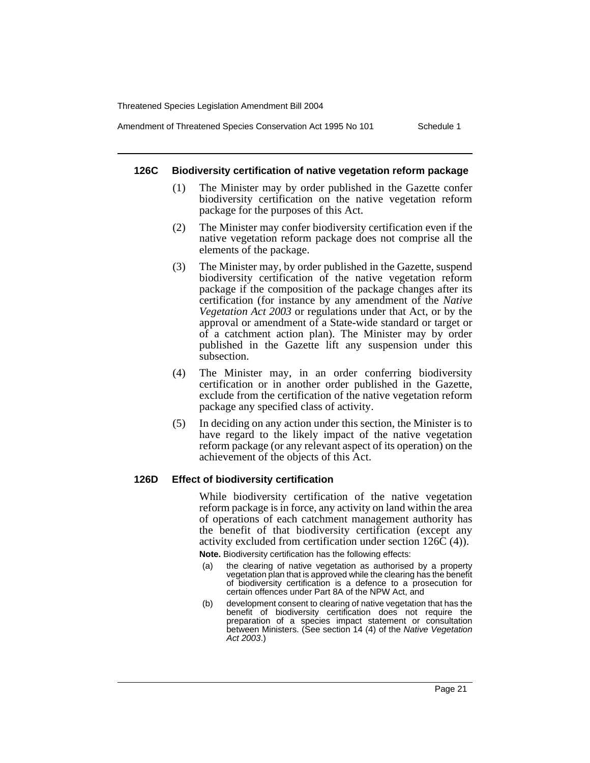Amendment of Threatened Species Conservation Act 1995 No 101 Schedule 1

#### **126C Biodiversity certification of native vegetation reform package**

- (1) The Minister may by order published in the Gazette confer biodiversity certification on the native vegetation reform package for the purposes of this Act.
- (2) The Minister may confer biodiversity certification even if the native vegetation reform package does not comprise all the elements of the package.
- (3) The Minister may, by order published in the Gazette, suspend biodiversity certification of the native vegetation reform package if the composition of the package changes after its certification (for instance by any amendment of the *Native Vegetation Act 2003* or regulations under that Act, or by the approval or amendment of a State-wide standard or target or of a catchment action plan). The Minister may by order published in the Gazette lift any suspension under this subsection.
- (4) The Minister may, in an order conferring biodiversity certification or in another order published in the Gazette, exclude from the certification of the native vegetation reform package any specified class of activity.
- (5) In deciding on any action under this section, the Minister is to have regard to the likely impact of the native vegetation reform package (or any relevant aspect of its operation) on the achievement of the objects of this Act.

#### **126D Effect of biodiversity certification**

While biodiversity certification of the native vegetation reform package is in force, any activity on land within the area of operations of each catchment management authority has the benefit of that biodiversity certification (except any activity excluded from certification under section 126C (4)).

**Note.** Biodiversity certification has the following effects:

- (a) the clearing of native vegetation as authorised by a property vegetation plan that is approved while the clearing has the benefit of biodiversity certification is a defence to a prosecution for certain offences under Part 8A of the NPW Act, and
- (b) development consent to clearing of native vegetation that has the benefit of biodiversity certification does not require the preparation of a species impact statement or consultation between Ministers. (See section 14 (4) of the Native Vegetation Act 2003.)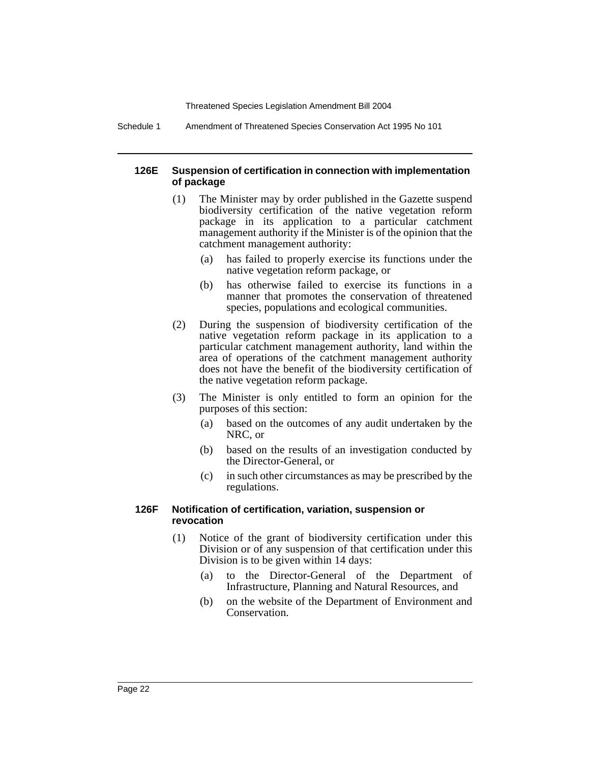Schedule 1 Amendment of Threatened Species Conservation Act 1995 No 101

#### **126E Suspension of certification in connection with implementation of package**

- (1) The Minister may by order published in the Gazette suspend biodiversity certification of the native vegetation reform package in its application to a particular catchment management authority if the Minister is of the opinion that the catchment management authority:
	- (a) has failed to properly exercise its functions under the native vegetation reform package, or
	- (b) has otherwise failed to exercise its functions in a manner that promotes the conservation of threatened species, populations and ecological communities.
- (2) During the suspension of biodiversity certification of the native vegetation reform package in its application to a particular catchment management authority, land within the area of operations of the catchment management authority does not have the benefit of the biodiversity certification of the native vegetation reform package.
- (3) The Minister is only entitled to form an opinion for the purposes of this section:
	- (a) based on the outcomes of any audit undertaken by the NRC, or
	- (b) based on the results of an investigation conducted by the Director-General, or
	- (c) in such other circumstances as may be prescribed by the regulations.

#### **126F Notification of certification, variation, suspension or revocation**

- (1) Notice of the grant of biodiversity certification under this Division or of any suspension of that certification under this Division is to be given within 14 days:
	- (a) to the Director-General of the Department of Infrastructure, Planning and Natural Resources, and
	- (b) on the website of the Department of Environment and Conservation.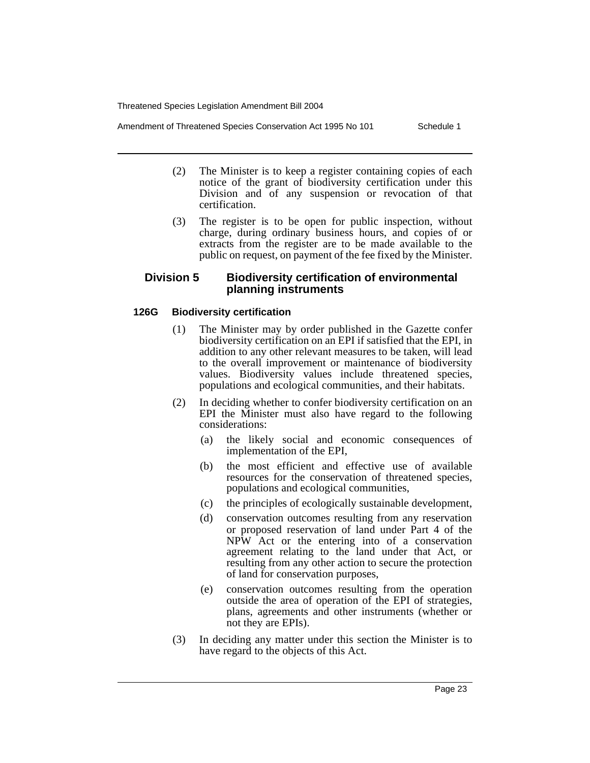Amendment of Threatened Species Conservation Act 1995 No 101 Schedule 1

- (2) The Minister is to keep a register containing copies of each notice of the grant of biodiversity certification under this Division and of any suspension or revocation of that certification.
- (3) The register is to be open for public inspection, without charge, during ordinary business hours, and copies of or extracts from the register are to be made available to the public on request, on payment of the fee fixed by the Minister.

# **Division 5 Biodiversity certification of environmental planning instruments**

# **126G Biodiversity certification**

- (1) The Minister may by order published in the Gazette confer biodiversity certification on an EPI if satisfied that the EPI, in addition to any other relevant measures to be taken, will lead to the overall improvement or maintenance of biodiversity values. Biodiversity values include threatened species, populations and ecological communities, and their habitats.
- (2) In deciding whether to confer biodiversity certification on an EPI the Minister must also have regard to the following considerations:
	- (a) the likely social and economic consequences of implementation of the EPI,
	- (b) the most efficient and effective use of available resources for the conservation of threatened species, populations and ecological communities,
	- (c) the principles of ecologically sustainable development,
	- (d) conservation outcomes resulting from any reservation or proposed reservation of land under Part 4 of the NPW Act or the entering into of a conservation agreement relating to the land under that Act, or resulting from any other action to secure the protection of land for conservation purposes,
	- (e) conservation outcomes resulting from the operation outside the area of operation of the EPI of strategies, plans, agreements and other instruments (whether or not they are EPIs).
- (3) In deciding any matter under this section the Minister is to have regard to the objects of this Act.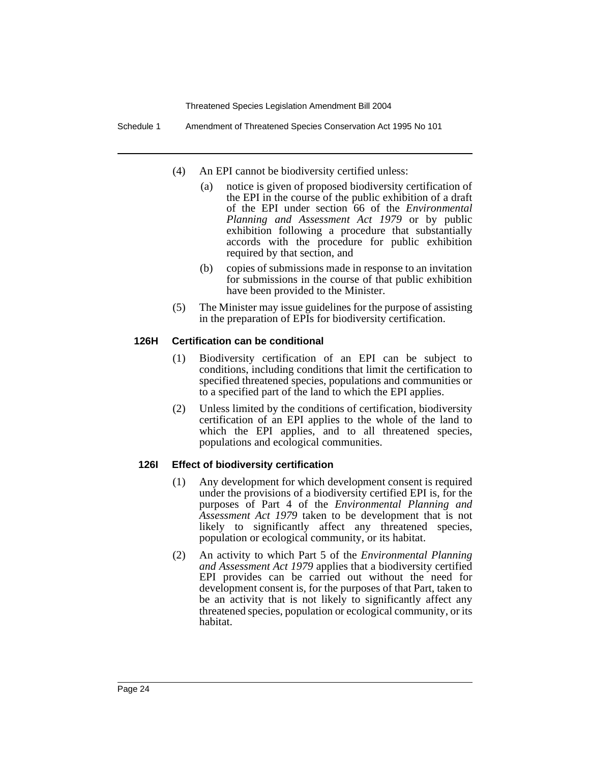Schedule 1 Amendment of Threatened Species Conservation Act 1995 No 101

- (4) An EPI cannot be biodiversity certified unless:
	- (a) notice is given of proposed biodiversity certification of the EPI in the course of the public exhibition of a draft of the EPI under section 66 of the *Environmental Planning and Assessment Act 1979* or by public exhibition following a procedure that substantially accords with the procedure for public exhibition required by that section, and
	- (b) copies of submissions made in response to an invitation for submissions in the course of that public exhibition have been provided to the Minister.
- (5) The Minister may issue guidelines for the purpose of assisting in the preparation of EPIs for biodiversity certification.

#### **126H Certification can be conditional**

- (1) Biodiversity certification of an EPI can be subject to conditions, including conditions that limit the certification to specified threatened species, populations and communities or to a specified part of the land to which the EPI applies.
- (2) Unless limited by the conditions of certification, biodiversity certification of an EPI applies to the whole of the land to which the EPI applies, and to all threatened species, populations and ecological communities.

#### **126I Effect of biodiversity certification**

- (1) Any development for which development consent is required under the provisions of a biodiversity certified EPI is, for the purposes of Part 4 of the *Environmental Planning and Assessment Act 1979* taken to be development that is not likely to significantly affect any threatened species, population or ecological community, or its habitat.
- (2) An activity to which Part 5 of the *Environmental Planning and Assessment Act 1979* applies that a biodiversity certified EPI provides can be carried out without the need for development consent is, for the purposes of that Part, taken to be an activity that is not likely to significantly affect any threatened species, population or ecological community, or its habitat.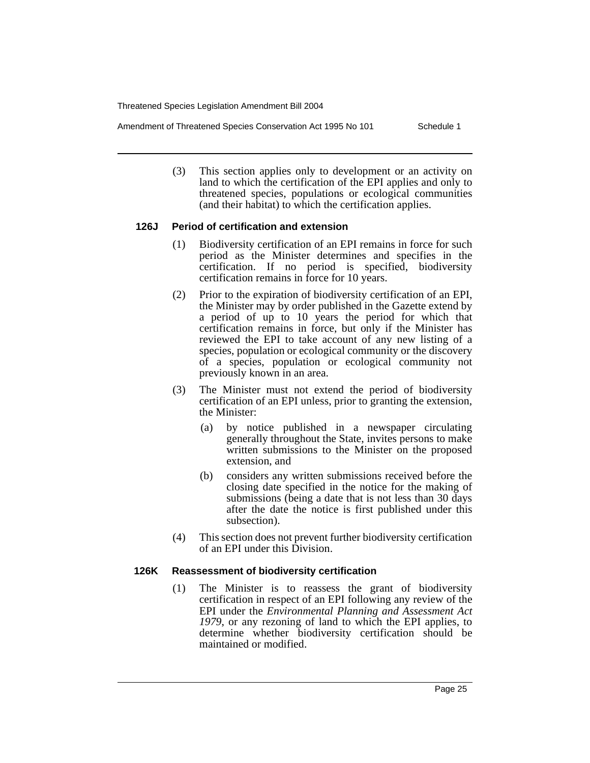Amendment of Threatened Species Conservation Act 1995 No 101 Schedule 1

(3) This section applies only to development or an activity on land to which the certification of the EPI applies and only to threatened species, populations or ecological communities (and their habitat) to which the certification applies.

#### **126J Period of certification and extension**

- (1) Biodiversity certification of an EPI remains in force for such period as the Minister determines and specifies in the certification. If no period is specified, biodiversity certification remains in force for 10 years.
- (2) Prior to the expiration of biodiversity certification of an EPI, the Minister may by order published in the Gazette extend by a period of up to 10 years the period for which that certification remains in force, but only if the Minister has reviewed the EPI to take account of any new listing of a species, population or ecological community or the discovery of a species, population or ecological community not previously known in an area.
- (3) The Minister must not extend the period of biodiversity certification of an EPI unless, prior to granting the extension, the Minister:
	- (a) by notice published in a newspaper circulating generally throughout the State, invites persons to make written submissions to the Minister on the proposed extension, and
	- (b) considers any written submissions received before the closing date specified in the notice for the making of submissions (being a date that is not less than 30 days after the date the notice is first published under this subsection).
- (4) This section does not prevent further biodiversity certification of an EPI under this Division.

#### **126K Reassessment of biodiversity certification**

(1) The Minister is to reassess the grant of biodiversity certification in respect of an EPI following any review of the EPI under the *Environmental Planning and Assessment Act 1979*, or any rezoning of land to which the EPI applies, to determine whether biodiversity certification should be maintained or modified.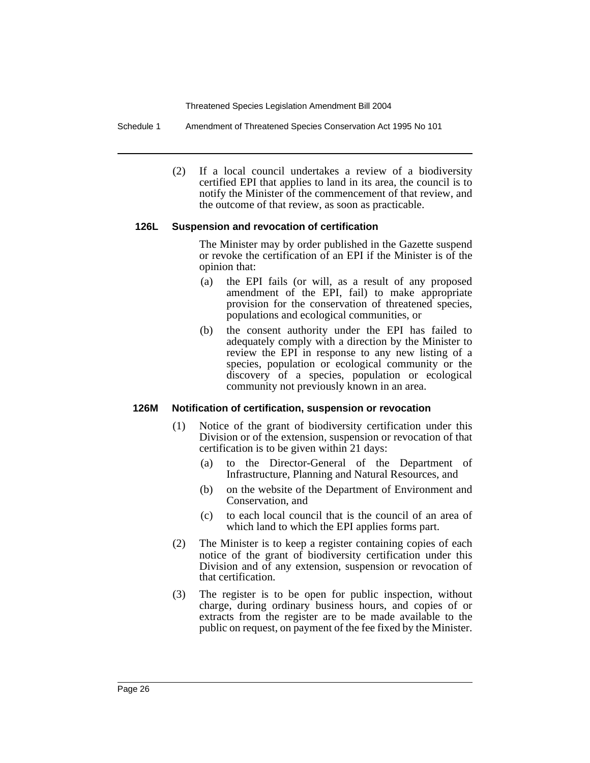Schedule 1 Amendment of Threatened Species Conservation Act 1995 No 101

(2) If a local council undertakes a review of a biodiversity certified EPI that applies to land in its area, the council is to notify the Minister of the commencement of that review, and the outcome of that review, as soon as practicable.

#### **126L Suspension and revocation of certification**

The Minister may by order published in the Gazette suspend or revoke the certification of an EPI if the Minister is of the opinion that:

- (a) the EPI fails (or will, as a result of any proposed amendment of the EPI, fail) to make appropriate provision for the conservation of threatened species, populations and ecological communities, or
- (b) the consent authority under the EPI has failed to adequately comply with a direction by the Minister to review the EPI in response to any new listing of a species, population or ecological community or the discovery of a species, population or ecological community not previously known in an area.

#### **126M Notification of certification, suspension or revocation**

- (1) Notice of the grant of biodiversity certification under this Division or of the extension, suspension or revocation of that certification is to be given within 21 days:
	- (a) to the Director-General of the Department of Infrastructure, Planning and Natural Resources, and
	- (b) on the website of the Department of Environment and Conservation, and
	- (c) to each local council that is the council of an area of which land to which the EPI applies forms part.
- (2) The Minister is to keep a register containing copies of each notice of the grant of biodiversity certification under this Division and of any extension, suspension or revocation of that certification.
- (3) The register is to be open for public inspection, without charge, during ordinary business hours, and copies of or extracts from the register are to be made available to the public on request, on payment of the fee fixed by the Minister.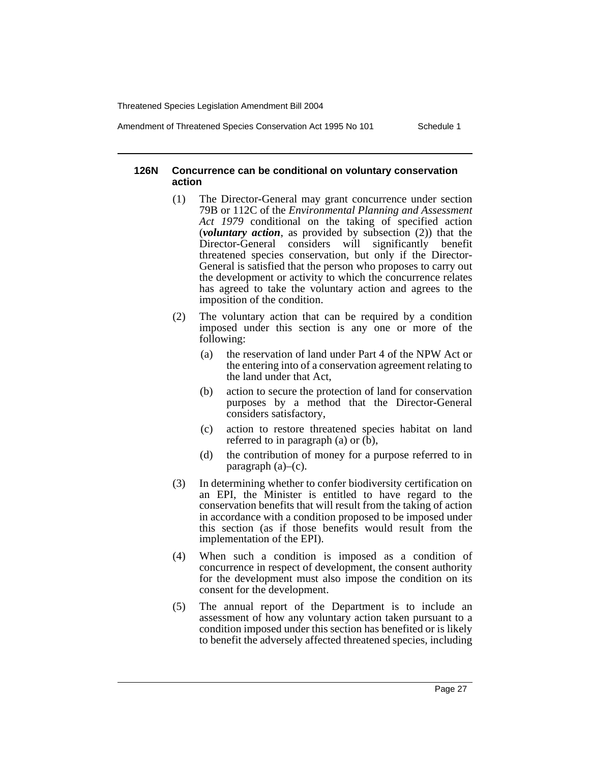Amendment of Threatened Species Conservation Act 1995 No 101 Schedule 1

#### **126N Concurrence can be conditional on voluntary conservation action**

- (1) The Director-General may grant concurrence under section 79B or 112C of the *Environmental Planning and Assessment Act 1979* conditional on the taking of specified action (*voluntary action*, as provided by subsection (2)) that the Director-General considers will significantly benefit threatened species conservation, but only if the Director-General is satisfied that the person who proposes to carry out the development or activity to which the concurrence relates has agreed to take the voluntary action and agrees to the imposition of the condition.
- (2) The voluntary action that can be required by a condition imposed under this section is any one or more of the following:
	- (a) the reservation of land under Part 4 of the NPW Act or the entering into of a conservation agreement relating to the land under that Act,
	- (b) action to secure the protection of land for conservation purposes by a method that the Director-General considers satisfactory,
	- (c) action to restore threatened species habitat on land referred to in paragraph (a) or (b),
	- (d) the contribution of money for a purpose referred to in paragraph (a)–(c).
- (3) In determining whether to confer biodiversity certification on an EPI, the Minister is entitled to have regard to the conservation benefits that will result from the taking of action in accordance with a condition proposed to be imposed under this section (as if those benefits would result from the implementation of the EPI).
- (4) When such a condition is imposed as a condition of concurrence in respect of development, the consent authority for the development must also impose the condition on its consent for the development.
- (5) The annual report of the Department is to include an assessment of how any voluntary action taken pursuant to a condition imposed under this section has benefited or is likely to benefit the adversely affected threatened species, including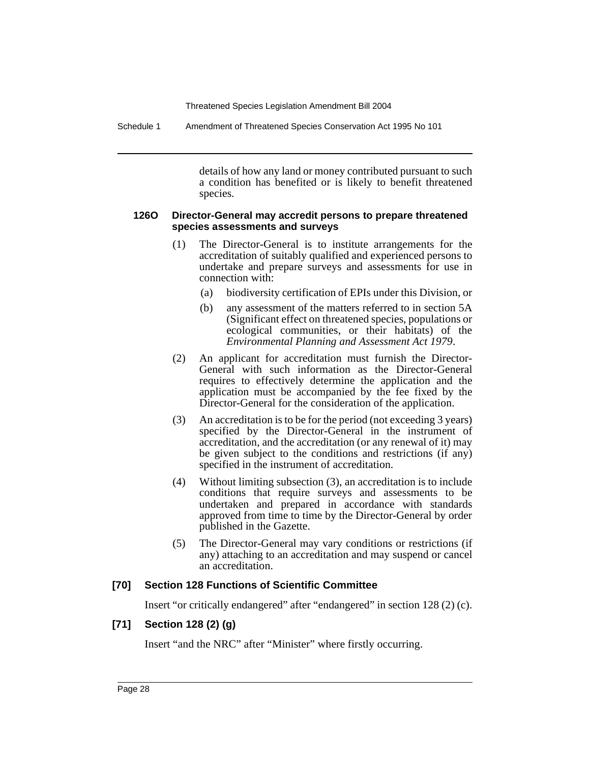Schedule 1 Amendment of Threatened Species Conservation Act 1995 No 101

details of how any land or money contributed pursuant to such a condition has benefited or is likely to benefit threatened species.

#### **126O Director-General may accredit persons to prepare threatened species assessments and surveys**

- (1) The Director-General is to institute arrangements for the accreditation of suitably qualified and experienced persons to undertake and prepare surveys and assessments for use in connection with:
	- (a) biodiversity certification of EPIs under this Division, or
	- (b) any assessment of the matters referred to in section 5A (Significant effect on threatened species, populations or ecological communities, or their habitats) of the *Environmental Planning and Assessment Act 1979*.
- (2) An applicant for accreditation must furnish the Director-General with such information as the Director-General requires to effectively determine the application and the application must be accompanied by the fee fixed by the Director-General for the consideration of the application.
- (3) An accreditation is to be for the period (not exceeding 3 years) specified by the Director-General in the instrument of accreditation, and the accreditation (or any renewal of it) may be given subject to the conditions and restrictions (if any) specified in the instrument of accreditation.
- (4) Without limiting subsection (3), an accreditation is to include conditions that require surveys and assessments to be undertaken and prepared in accordance with standards approved from time to time by the Director-General by order published in the Gazette.
- (5) The Director-General may vary conditions or restrictions (if any) attaching to an accreditation and may suspend or cancel an accreditation.

# **[70] Section 128 Functions of Scientific Committee**

Insert "or critically endangered" after "endangered" in section 128 (2) (c).

# **[71] Section 128 (2) (g)**

Insert "and the NRC" after "Minister" where firstly occurring.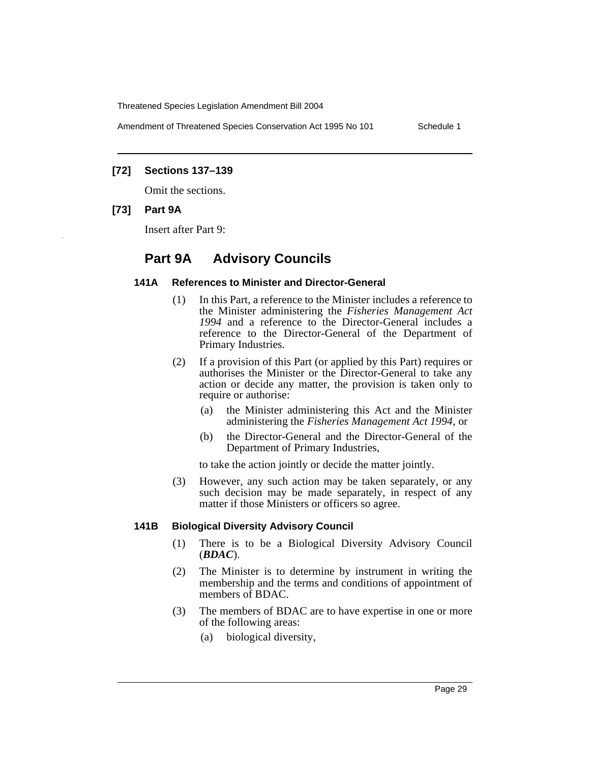Amendment of Threatened Species Conservation Act 1995 No 101 Schedule 1

#### **[72] Sections 137–139**

Omit the sections.

#### **[73] Part 9A**

Insert after Part 9:

# **Part 9A Advisory Councils**

#### **141A References to Minister and Director-General**

- (1) In this Part, a reference to the Minister includes a reference to the Minister administering the *Fisheries Management Act 1994* and a reference to the Director-General includes a reference to the Director-General of the Department of Primary Industries.
- (2) If a provision of this Part (or applied by this Part) requires or authorises the Minister or the Director-General to take any action or decide any matter, the provision is taken only to require or authorise:
	- (a) the Minister administering this Act and the Minister administering the *Fisheries Management Act 1994*, or
	- (b) the Director-General and the Director-General of the Department of Primary Industries,

to take the action jointly or decide the matter jointly.

(3) However, any such action may be taken separately, or any such decision may be made separately, in respect of any matter if those Ministers or officers so agree.

#### **141B Biological Diversity Advisory Council**

- (1) There is to be a Biological Diversity Advisory Council (*BDAC*).
- (2) The Minister is to determine by instrument in writing the membership and the terms and conditions of appointment of members of BDAC.
- (3) The members of BDAC are to have expertise in one or more of the following areas:
	- (a) biological diversity,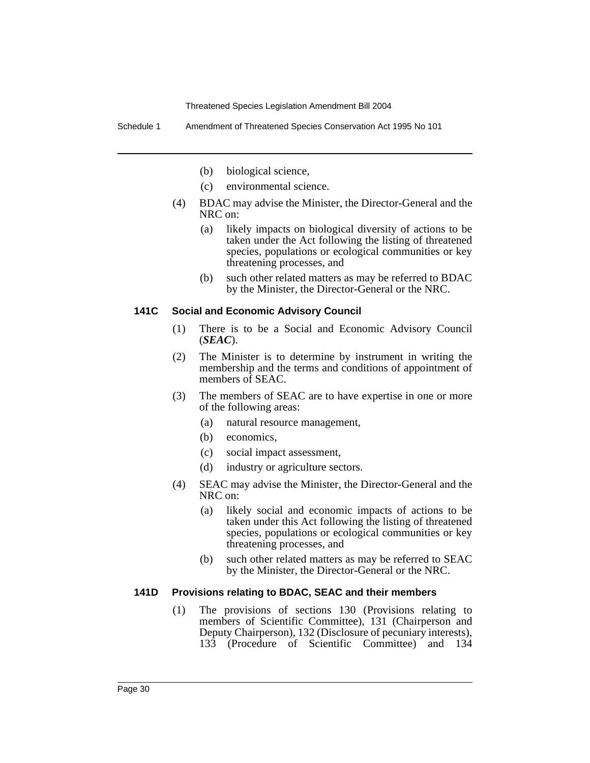Schedule 1 Amendment of Threatened Species Conservation Act 1995 No 101

- (b) biological science,
- (c) environmental science.
- (4) BDAC may advise the Minister, the Director-General and the NRC on:
	- (a) likely impacts on biological diversity of actions to be taken under the Act following the listing of threatened species, populations or ecological communities or key threatening processes, and
	- (b) such other related matters as may be referred to BDAC by the Minister, the Director-General or the NRC.

#### **141C Social and Economic Advisory Council**

- (1) There is to be a Social and Economic Advisory Council (*SEAC*).
- (2) The Minister is to determine by instrument in writing the membership and the terms and conditions of appointment of members of SEAC.
- (3) The members of SEAC are to have expertise in one or more of the following areas:
	- (a) natural resource management,
	- (b) economics,
	- (c) social impact assessment,
	- (d) industry or agriculture sectors.
- (4) SEAC may advise the Minister, the Director-General and the NRC on:
	- (a) likely social and economic impacts of actions to be taken under this Act following the listing of threatened species, populations or ecological communities or key threatening processes, and
	- (b) such other related matters as may be referred to SEAC by the Minister, the Director-General or the NRC.

#### **141D Provisions relating to BDAC, SEAC and their members**

(1) The provisions of sections 130 (Provisions relating to members of Scientific Committee), 131 (Chairperson and Deputy Chairperson), 132 (Disclosure of pecuniary interests), 133 (Procedure of Scientific Committee) and 134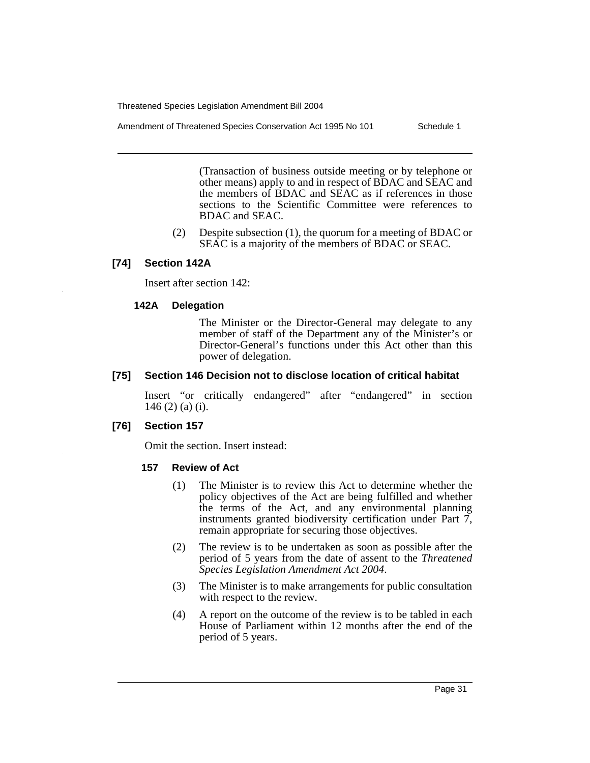Amendment of Threatened Species Conservation Act 1995 No 101 Schedule 1

(Transaction of business outside meeting or by telephone or other means) apply to and in respect of BDAC and SEAC and the members of BDAC and SEAC as if references in those sections to the Scientific Committee were references to BDAC and SEAC.

(2) Despite subsection (1), the quorum for a meeting of BDAC or SEAC is a majority of the members of BDAC or SEAC.

## **[74] Section 142A**

Insert after section 142:

#### **142A Delegation**

The Minister or the Director-General may delegate to any member of staff of the Department any of the Minister's or Director-General's functions under this Act other than this power of delegation.

#### **[75] Section 146 Decision not to disclose location of critical habitat**

Insert "or critically endangered" after "endangered" in section 146 (2) (a) (i).

#### **[76] Section 157**

Omit the section. Insert instead:

#### **157 Review of Act**

- (1) The Minister is to review this Act to determine whether the policy objectives of the Act are being fulfilled and whether the terms of the Act, and any environmental planning instruments granted biodiversity certification under Part 7, remain appropriate for securing those objectives.
- (2) The review is to be undertaken as soon as possible after the period of 5 years from the date of assent to the *Threatened Species Legislation Amendment Act 2004*.
- (3) The Minister is to make arrangements for public consultation with respect to the review.
- (4) A report on the outcome of the review is to be tabled in each House of Parliament within 12 months after the end of the period of 5 years.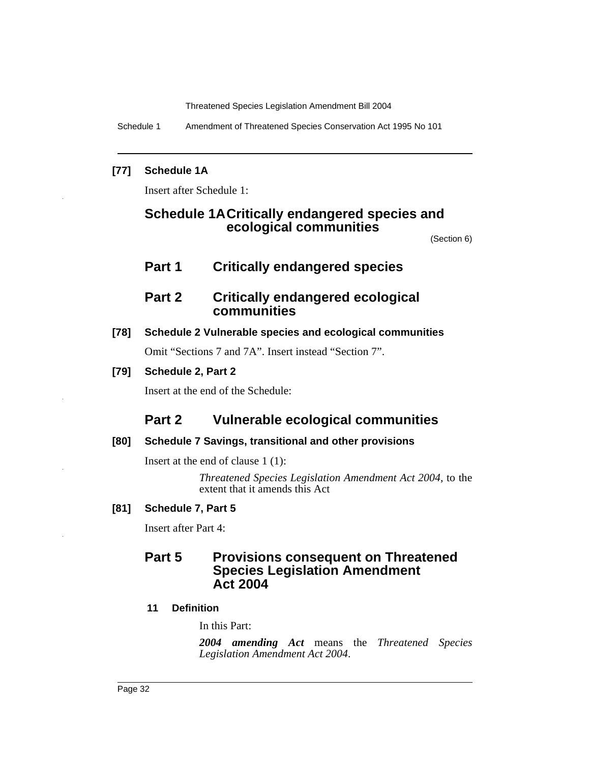Schedule 1 Amendment of Threatened Species Conservation Act 1995 No 101

# **[77] Schedule 1A**

Insert after Schedule 1:

# **Schedule 1ACritically endangered species and ecological communities**

(Section 6)

# **Part 1 Critically endangered species**

# **Part 2 Critically endangered ecological communities**

# **[78] Schedule 2 Vulnerable species and ecological communities**

Omit "Sections 7 and 7A". Insert instead "Section 7".

# **[79] Schedule 2, Part 2**

Insert at the end of the Schedule:

# **Part 2 Vulnerable ecological communities**

# **[80] Schedule 7 Savings, transitional and other provisions**

Insert at the end of clause 1 (1):

*Threatened Species Legislation Amendment Act 2004*, to the extent that it amends this Act

# **[81] Schedule 7, Part 5**

Insert after Part 4:

# **Part 5 Provisions consequent on Threatened Species Legislation Amendment Act 2004**

# **11 Definition**

In this Part:

*2004 amending Act* means the *Threatened Species Legislation Amendment Act 2004*.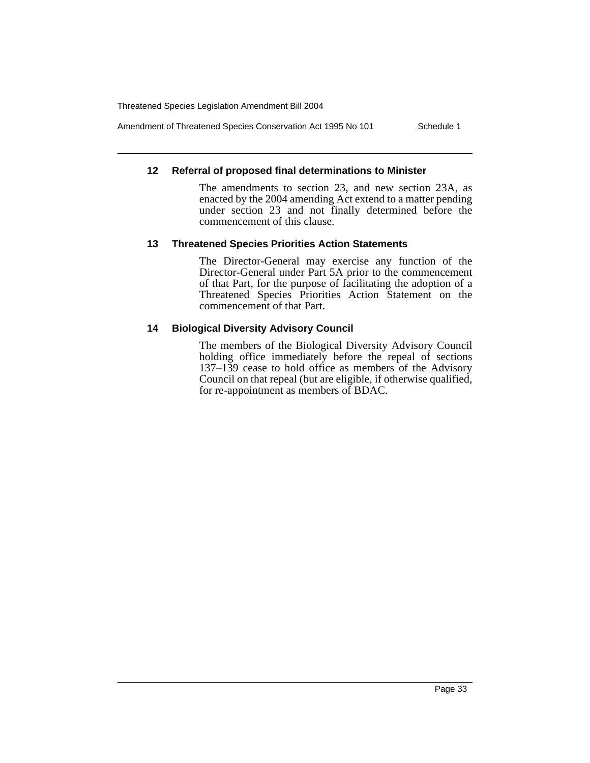Amendment of Threatened Species Conservation Act 1995 No 101 Schedule 1

#### **12 Referral of proposed final determinations to Minister**

The amendments to section 23, and new section 23A, as enacted by the 2004 amending Act extend to a matter pending under section 23 and not finally determined before the commencement of this clause.

#### **13 Threatened Species Priorities Action Statements**

The Director-General may exercise any function of the Director-General under Part 5A prior to the commencement of that Part, for the purpose of facilitating the adoption of a Threatened Species Priorities Action Statement on the commencement of that Part.

#### **14 Biological Diversity Advisory Council**

The members of the Biological Diversity Advisory Council holding office immediately before the repeal of sections  $137-139$  cease to hold office as members of the Advisory Council on that repeal (but are eligible, if otherwise qualified, for re-appointment as members of BDAC.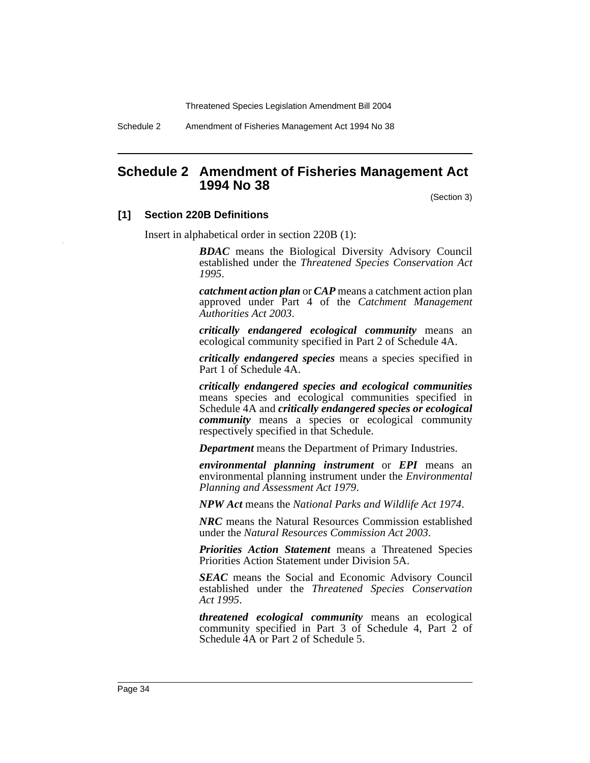Schedule 2 Amendment of Fisheries Management Act 1994 No 38

# <span id="page-34-0"></span>**Schedule 2 Amendment of Fisheries Management Act 1994 No 38**

(Section 3)

#### **[1] Section 220B Definitions**

Insert in alphabetical order in section 220B (1):

*BDAC* means the Biological Diversity Advisory Council established under the *Threatened Species Conservation Act 1995*.

*catchment action plan* or *CAP* means a catchment action plan approved under Part 4 of the *Catchment Management Authorities Act 2003*.

*critically endangered ecological community* means an ecological community specified in Part 2 of Schedule 4A.

*critically endangered species* means a species specified in Part 1 of Schedule 4A.

*critically endangered species and ecological communities* means species and ecological communities specified in Schedule 4A and *critically endangered species or ecological community* means a species or ecological community respectively specified in that Schedule.

*Department* means the Department of Primary Industries.

*environmental planning instrument* or *EPI* means an environmental planning instrument under the *Environmental Planning and Assessment Act 1979*.

*NPW Act* means the *National Parks and Wildlife Act 1974*.

*NRC* means the Natural Resources Commission established under the *Natural Resources Commission Act 2003*.

*Priorities Action Statement* means a Threatened Species Priorities Action Statement under Division 5A.

*SEAC* means the Social and Economic Advisory Council established under the *Threatened Species Conservation Act 1995*.

*threatened ecological community* means an ecological community specified in Part 3 of Schedule 4, Part 2 of Schedule 4A or Part 2 of Schedule 5.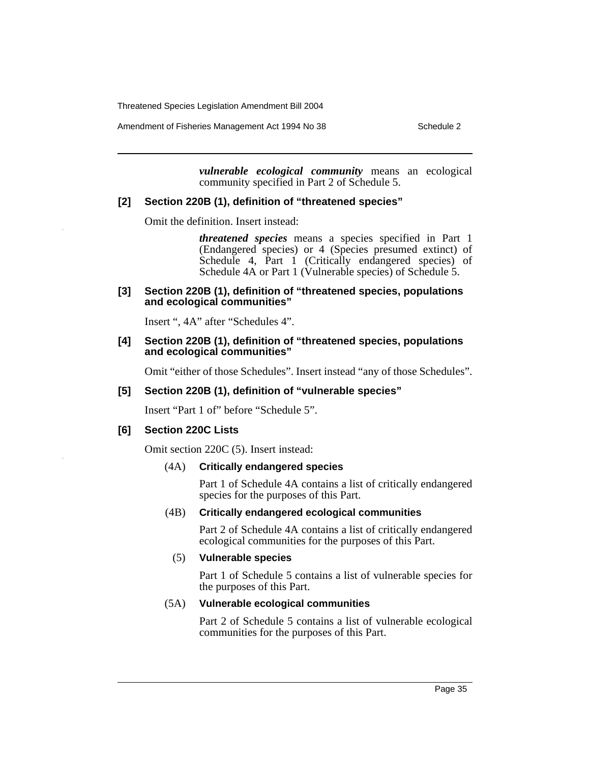Amendment of Fisheries Management Act 1994 No 38 Schedule 2

*vulnerable ecological community* means an ecological community specified in Part 2 of Schedule 5.

# **[2] Section 220B (1), definition of "threatened species"**

Omit the definition. Insert instead:

*threatened species* means a species specified in Part 1 (Endangered species) or 4 (Species presumed extinct) of Schedule 4, Part 1 (Critically endangered species) of Schedule 4A or Part 1 (Vulnerable species) of Schedule 5.

#### **[3] Section 220B (1), definition of "threatened species, populations and ecological communities"**

Insert ", 4A" after "Schedules 4".

#### **[4] Section 220B (1), definition of "threatened species, populations and ecological communities"**

Omit "either of those Schedules". Insert instead "any of those Schedules".

#### **[5] Section 220B (1), definition of "vulnerable species"**

Insert "Part 1 of" before "Schedule 5".

#### **[6] Section 220C Lists**

Omit section 220C (5). Insert instead:

#### (4A) **Critically endangered species**

Part 1 of Schedule 4A contains a list of critically endangered species for the purposes of this Part.

#### (4B) **Critically endangered ecological communities**

Part 2 of Schedule 4A contains a list of critically endangered ecological communities for the purposes of this Part.

#### (5) **Vulnerable species**

Part 1 of Schedule 5 contains a list of vulnerable species for the purposes of this Part.

#### (5A) **Vulnerable ecological communities**

Part 2 of Schedule 5 contains a list of vulnerable ecological communities for the purposes of this Part.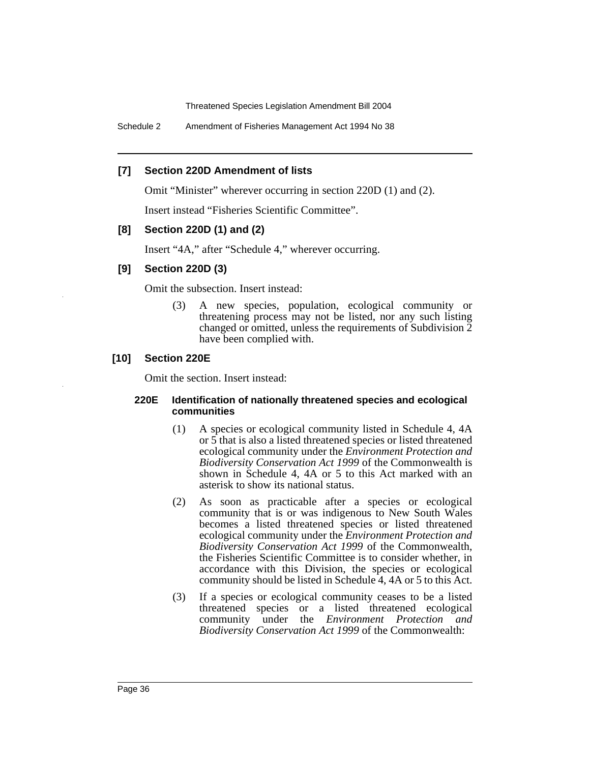Schedule 2 Amendment of Fisheries Management Act 1994 No 38

## **[7] Section 220D Amendment of lists**

Omit "Minister" wherever occurring in section 220D (1) and (2).

Insert instead "Fisheries Scientific Committee".

# **[8] Section 220D (1) and (2)**

Insert "4A," after "Schedule 4," wherever occurring.

# **[9] Section 220D (3)**

Omit the subsection. Insert instead:

(3) A new species, population, ecological community or threatening process may not be listed, nor any such listing changed or omitted, unless the requirements of Subdivision 2 have been complied with.

## **[10] Section 220E**

Omit the section. Insert instead:

#### **220E Identification of nationally threatened species and ecological communities**

- (1) A species or ecological community listed in Schedule 4, 4A or 5 that is also a listed threatened species or listed threatened ecological community under the *Environment Protection and Biodiversity Conservation Act 1999* of the Commonwealth is shown in Schedule 4, 4A or 5 to this Act marked with an asterisk to show its national status.
- (2) As soon as practicable after a species or ecological community that is or was indigenous to New South Wales becomes a listed threatened species or listed threatened ecological community under the *Environment Protection and Biodiversity Conservation Act 1999* of the Commonwealth, the Fisheries Scientific Committee is to consider whether, in accordance with this Division, the species or ecological community should be listed in Schedule 4, 4A or 5 to this Act.
- (3) If a species or ecological community ceases to be a listed threatened species or a listed threatened ecological community under the *Environment Protection and Biodiversity Conservation Act 1999* of the Commonwealth: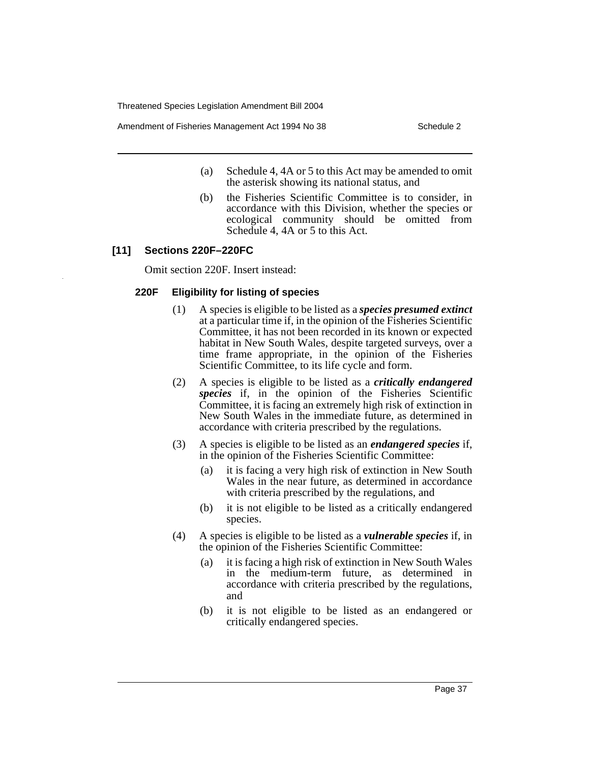Amendment of Fisheries Management Act 1994 No 38 Schedule 2

- (a) Schedule 4, 4A or 5 to this Act may be amended to omit the asterisk showing its national status, and
- (b) the Fisheries Scientific Committee is to consider, in accordance with this Division, whether the species or ecological community should be omitted from Schedule 4, 4A or 5 to this Act.

# **[11] Sections 220F–220FC**

Omit section 220F. Insert instead:

# **220F Eligibility for listing of species**

- (1) A species is eligible to be listed as a *species presumed extinct* at a particular time if, in the opinion of the Fisheries Scientific Committee, it has not been recorded in its known or expected habitat in New South Wales, despite targeted surveys, over a time frame appropriate, in the opinion of the Fisheries Scientific Committee, to its life cycle and form.
- (2) A species is eligible to be listed as a *critically endangered species* if, in the opinion of the Fisheries Scientific Committee, it is facing an extremely high risk of extinction in New South Wales in the immediate future, as determined in accordance with criteria prescribed by the regulations.
- (3) A species is eligible to be listed as an *endangered species* if, in the opinion of the Fisheries Scientific Committee:
	- (a) it is facing a very high risk of extinction in New South Wales in the near future, as determined in accordance with criteria prescribed by the regulations, and
	- (b) it is not eligible to be listed as a critically endangered species.
- (4) A species is eligible to be listed as a *vulnerable species* if, in the opinion of the Fisheries Scientific Committee:
	- (a) it is facing a high risk of extinction in New South Wales in the medium-term future, as determined in accordance with criteria prescribed by the regulations, and
	- (b) it is not eligible to be listed as an endangered or critically endangered species.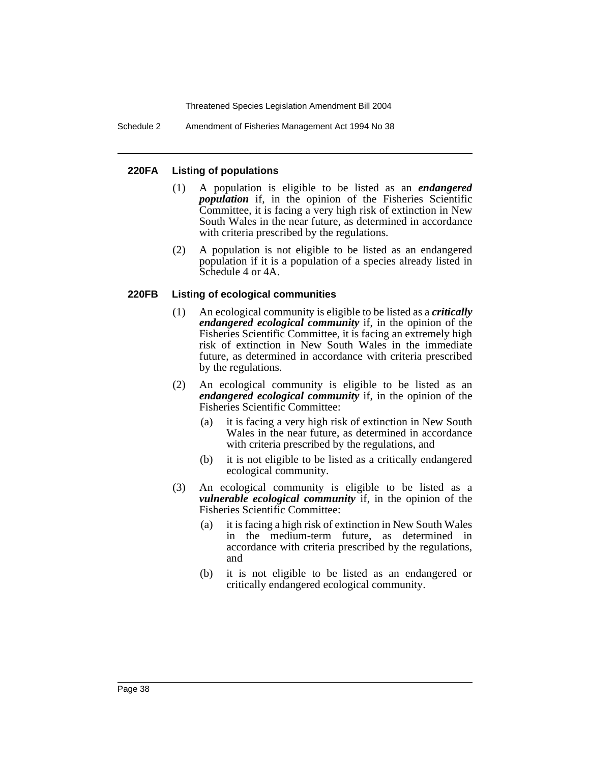Schedule 2 Amendment of Fisheries Management Act 1994 No 38

## **220FA Listing of populations**

- (1) A population is eligible to be listed as an *endangered population* if, in the opinion of the Fisheries Scientific Committee, it is facing a very high risk of extinction in New South Wales in the near future, as determined in accordance with criteria prescribed by the regulations.
- (2) A population is not eligible to be listed as an endangered population if it is a population of a species already listed in Schedule 4 or 4A.

## **220FB Listing of ecological communities**

- (1) An ecological community is eligible to be listed as a *critically endangered ecological community* if, in the opinion of the Fisheries Scientific Committee, it is facing an extremely high risk of extinction in New South Wales in the immediate future, as determined in accordance with criteria prescribed by the regulations.
- (2) An ecological community is eligible to be listed as an *endangered ecological community* if, in the opinion of the Fisheries Scientific Committee:
	- (a) it is facing a very high risk of extinction in New South Wales in the near future, as determined in accordance with criteria prescribed by the regulations, and
	- (b) it is not eligible to be listed as a critically endangered ecological community.
- (3) An ecological community is eligible to be listed as a *vulnerable ecological community* if, in the opinion of the Fisheries Scientific Committee:
	- (a) it is facing a high risk of extinction in New South Wales in the medium-term future, as determined in accordance with criteria prescribed by the regulations, and
	- (b) it is not eligible to be listed as an endangered or critically endangered ecological community.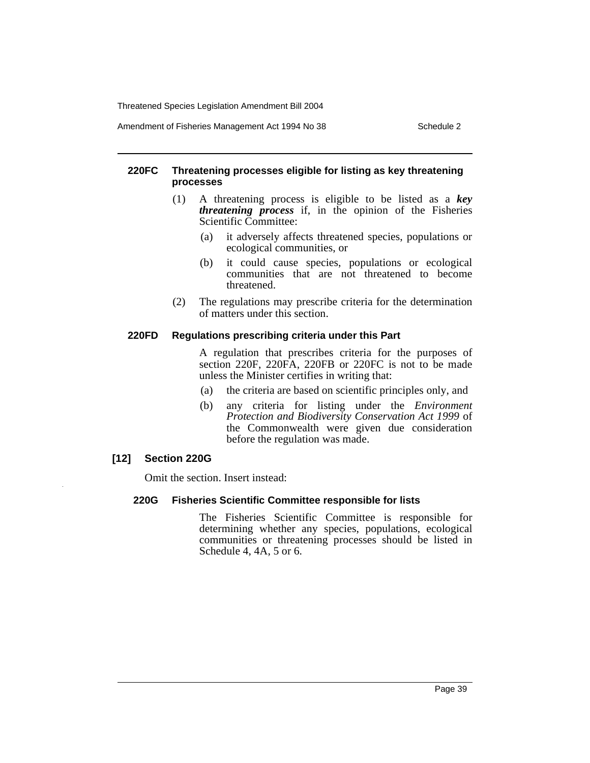Amendment of Fisheries Management Act 1994 No 38 Schedule 2

#### **220FC Threatening processes eligible for listing as key threatening processes**

- (1) A threatening process is eligible to be listed as a *key threatening process* if, in the opinion of the Fisheries Scientific Committee:
	- (a) it adversely affects threatened species, populations or ecological communities, or
	- (b) it could cause species, populations or ecological communities that are not threatened to become threatened.
- (2) The regulations may prescribe criteria for the determination of matters under this section.

#### **220FD Regulations prescribing criteria under this Part**

A regulation that prescribes criteria for the purposes of section 220F, 220FA, 220FB or 220FC is not to be made unless the Minister certifies in writing that:

- (a) the criteria are based on scientific principles only, and
- (b) any criteria for listing under the *Environment Protection and Biodiversity Conservation Act 1999* of the Commonwealth were given due consideration before the regulation was made.

## **[12] Section 220G**

Omit the section. Insert instead:

## **220G Fisheries Scientific Committee responsible for lists**

The Fisheries Scientific Committee is responsible for determining whether any species, populations, ecological communities or threatening processes should be listed in Schedule 4, 4A, 5 or 6.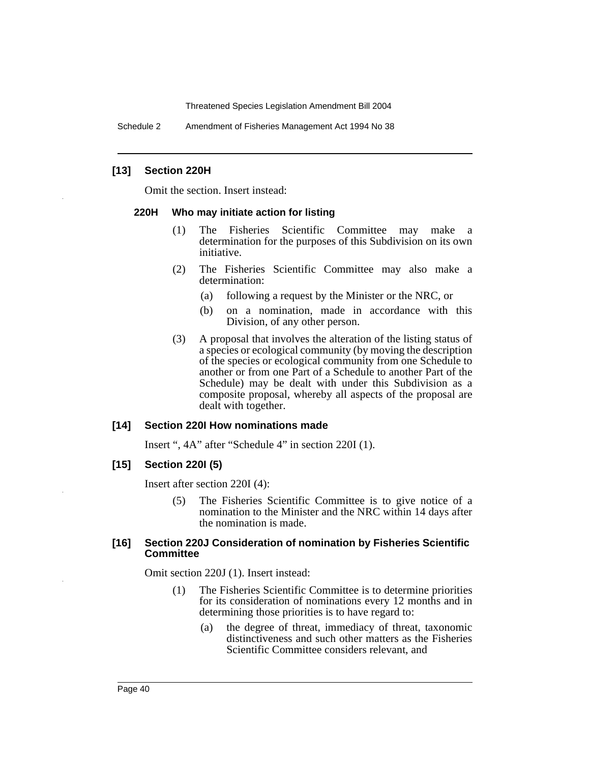Schedule 2 Amendment of Fisheries Management Act 1994 No 38

#### **[13] Section 220H**

Omit the section. Insert instead:

#### **220H Who may initiate action for listing**

- (1) The Fisheries Scientific Committee may make a determination for the purposes of this Subdivision on its own initiative.
- (2) The Fisheries Scientific Committee may also make a determination:
	- (a) following a request by the Minister or the NRC, or
	- (b) on a nomination, made in accordance with this Division, of any other person.
- (3) A proposal that involves the alteration of the listing status of a species or ecological community (by moving the description of the species or ecological community from one Schedule to another or from one Part of a Schedule to another Part of the Schedule) may be dealt with under this Subdivision as a composite proposal, whereby all aspects of the proposal are dealt with together.

#### **[14] Section 220I How nominations made**

Insert ", 4A" after "Schedule 4" in section 220I (1).

#### **[15] Section 220I (5)**

Insert after section 220I (4):

(5) The Fisheries Scientific Committee is to give notice of a nomination to the Minister and the NRC within 14 days after the nomination is made.

#### **[16] Section 220J Consideration of nomination by Fisheries Scientific Committee**

Omit section 220J (1). Insert instead:

- (1) The Fisheries Scientific Committee is to determine priorities for its consideration of nominations every 12 months and in determining those priorities is to have regard to:
	- (a) the degree of threat, immediacy of threat, taxonomic distinctiveness and such other matters as the Fisheries Scientific Committee considers relevant, and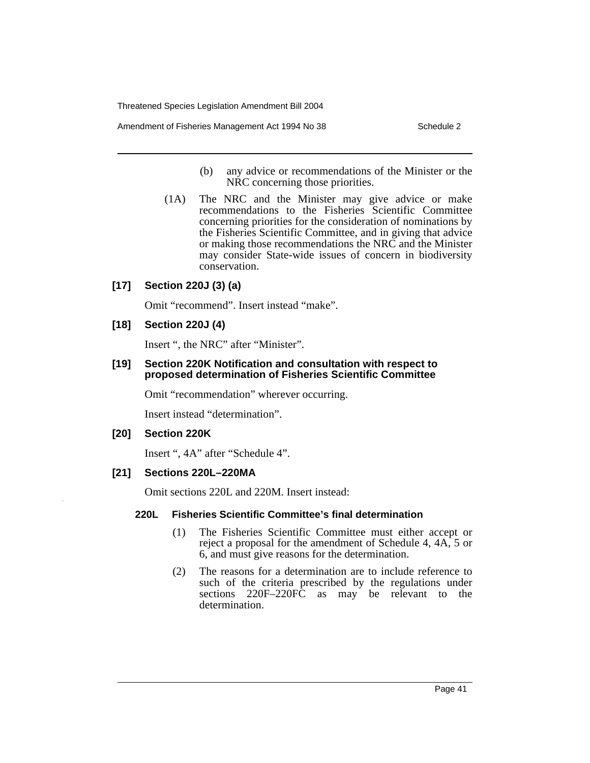Amendment of Fisheries Management Act 1994 No 38 Schedule 2

- (b) any advice or recommendations of the Minister or the NRC concerning those priorities.
- (1A) The NRC and the Minister may give advice or make recommendations to the Fisheries Scientific Committee concerning priorities for the consideration of nominations by the Fisheries Scientific Committee, and in giving that advice or making those recommendations the NRC and the Minister may consider State-wide issues of concern in biodiversity conservation.

# **[17] Section 220J (3) (a)**

Omit "recommend". Insert instead "make".

## **[18] Section 220J (4)**

Insert ", the NRC" after "Minister".

#### **[19] Section 220K Notification and consultation with respect to proposed determination of Fisheries Scientific Committee**

Omit "recommendation" wherever occurring.

Insert instead "determination".

#### **[20] Section 220K**

Insert ", 4A" after "Schedule 4".

## **[21] Sections 220L–220MA**

Omit sections 220L and 220M. Insert instead:

#### **220L Fisheries Scientific Committee's final determination**

- (1) The Fisheries Scientific Committee must either accept or reject a proposal for the amendment of Schedule 4, 4A, 5 or 6, and must give reasons for the determination.
- (2) The reasons for a determination are to include reference to such of the criteria prescribed by the regulations under sections 220F–220FC as may be relevant to the determination.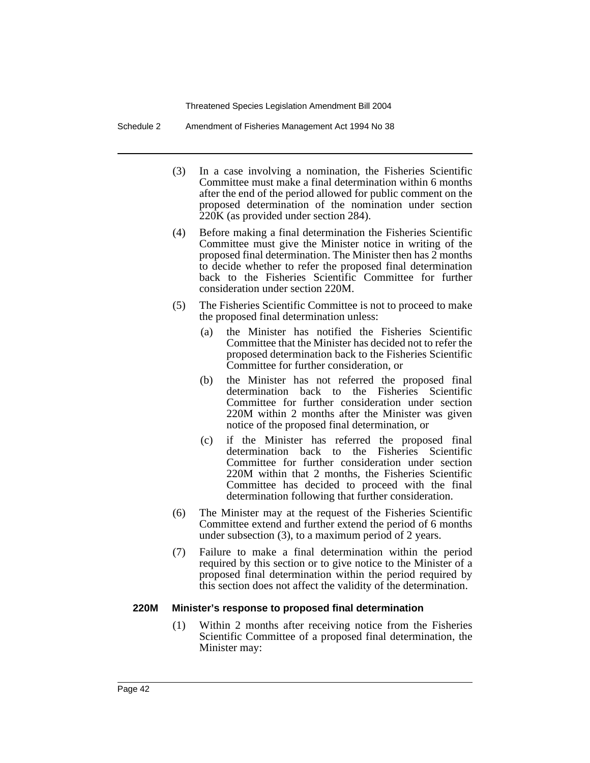Schedule 2 Amendment of Fisheries Management Act 1994 No 38

- (3) In a case involving a nomination, the Fisheries Scientific Committee must make a final determination within 6 months after the end of the period allowed for public comment on the proposed determination of the nomination under section 220K (as provided under section 284).
- (4) Before making a final determination the Fisheries Scientific Committee must give the Minister notice in writing of the proposed final determination. The Minister then has 2 months to decide whether to refer the proposed final determination back to the Fisheries Scientific Committee for further consideration under section 220M.
- (5) The Fisheries Scientific Committee is not to proceed to make the proposed final determination unless:
	- (a) the Minister has notified the Fisheries Scientific Committee that the Minister has decided not to refer the proposed determination back to the Fisheries Scientific Committee for further consideration, or
	- (b) the Minister has not referred the proposed final determination back to the Fisheries Scientific Committee for further consideration under section 220M within 2 months after the Minister was given notice of the proposed final determination, or
	- (c) if the Minister has referred the proposed final determination back to the Fisheries Scientific Committee for further consideration under section 220M within that 2 months, the Fisheries Scientific Committee has decided to proceed with the final determination following that further consideration.
- (6) The Minister may at the request of the Fisheries Scientific Committee extend and further extend the period of 6 months under subsection (3), to a maximum period of 2 years.
- (7) Failure to make a final determination within the period required by this section or to give notice to the Minister of a proposed final determination within the period required by this section does not affect the validity of the determination.

#### **220M Minister's response to proposed final determination**

(1) Within 2 months after receiving notice from the Fisheries Scientific Committee of a proposed final determination, the Minister may: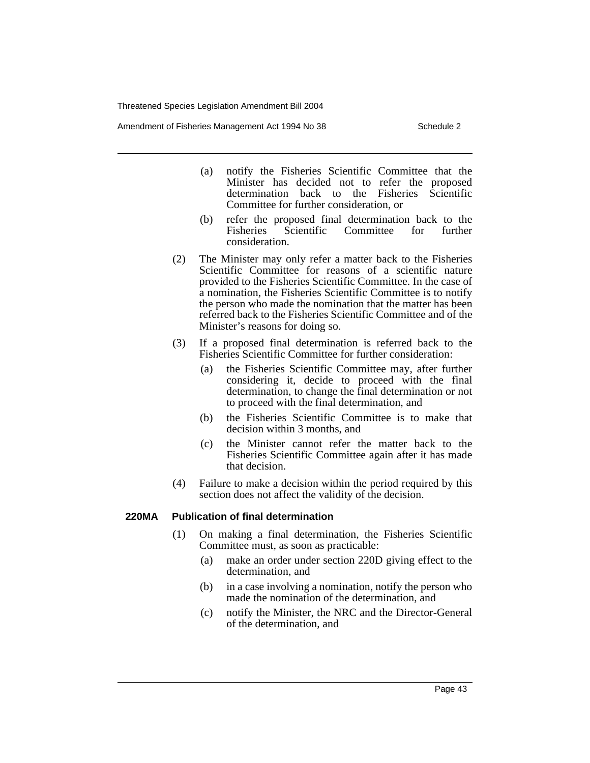Amendment of Fisheries Management Act 1994 No 38 Schedule 2

- (a) notify the Fisheries Scientific Committee that the Minister has decided not to refer the proposed determination back to the Fisheries Scientific Committee for further consideration, or
- (b) refer the proposed final determination back to the Fisheries Scientific Committee for further consideration.
- (2) The Minister may only refer a matter back to the Fisheries Scientific Committee for reasons of a scientific nature provided to the Fisheries Scientific Committee. In the case of a nomination, the Fisheries Scientific Committee is to notify the person who made the nomination that the matter has been referred back to the Fisheries Scientific Committee and of the Minister's reasons for doing so.
- (3) If a proposed final determination is referred back to the Fisheries Scientific Committee for further consideration:
	- (a) the Fisheries Scientific Committee may, after further considering it, decide to proceed with the final determination, to change the final determination or not to proceed with the final determination, and
	- (b) the Fisheries Scientific Committee is to make that decision within 3 months, and
	- (c) the Minister cannot refer the matter back to the Fisheries Scientific Committee again after it has made that decision.
- (4) Failure to make a decision within the period required by this section does not affect the validity of the decision.

#### **220MA Publication of final determination**

- (1) On making a final determination, the Fisheries Scientific Committee must, as soon as practicable:
	- (a) make an order under section 220D giving effect to the determination, and
	- (b) in a case involving a nomination, notify the person who made the nomination of the determination, and
	- (c) notify the Minister, the NRC and the Director-General of the determination, and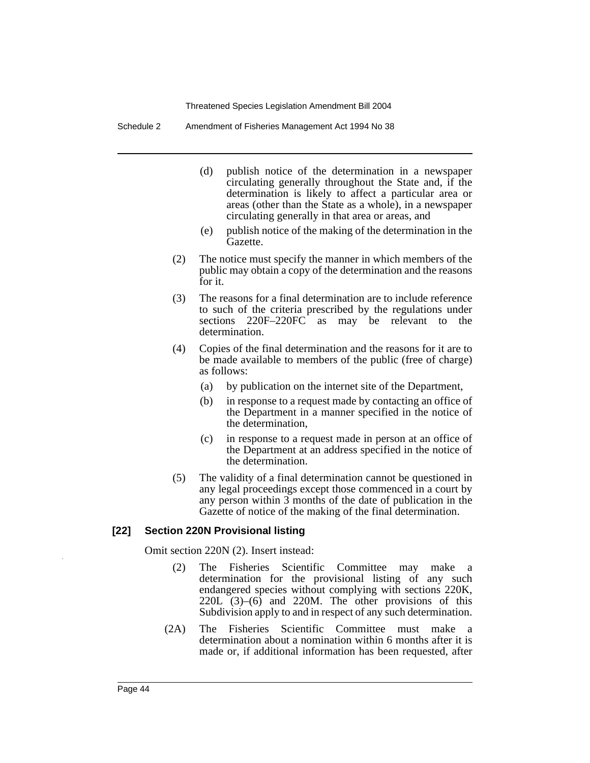Schedule 2 Amendment of Fisheries Management Act 1994 No 38

- (d) publish notice of the determination in a newspaper circulating generally throughout the State and, if the determination is likely to affect a particular area or areas (other than the State as a whole), in a newspaper circulating generally in that area or areas, and
- (e) publish notice of the making of the determination in the Gazette.
- (2) The notice must specify the manner in which members of the public may obtain a copy of the determination and the reasons for it.
- (3) The reasons for a final determination are to include reference to such of the criteria prescribed by the regulations under sections 220F–220FC as may be relevant to the determination.
- (4) Copies of the final determination and the reasons for it are to be made available to members of the public (free of charge) as follows:
	- (a) by publication on the internet site of the Department,
	- (b) in response to a request made by contacting an office of the Department in a manner specified in the notice of the determination,
	- (c) in response to a request made in person at an office of the Department at an address specified in the notice of the determination.
- (5) The validity of a final determination cannot be questioned in any legal proceedings except those commenced in a court by any person within 3 months of the date of publication in the Gazette of notice of the making of the final determination.

## **[22] Section 220N Provisional listing**

Omit section 220N (2). Insert instead:

- (2) The Fisheries Scientific Committee may make a determination for the provisional listing of any such endangered species without complying with sections 220K, 220L (3)–(6) and 220M. The other provisions of this Subdivision apply to and in respect of any such determination.
- (2A) The Fisheries Scientific Committee must make a determination about a nomination within 6 months after it is made or, if additional information has been requested, after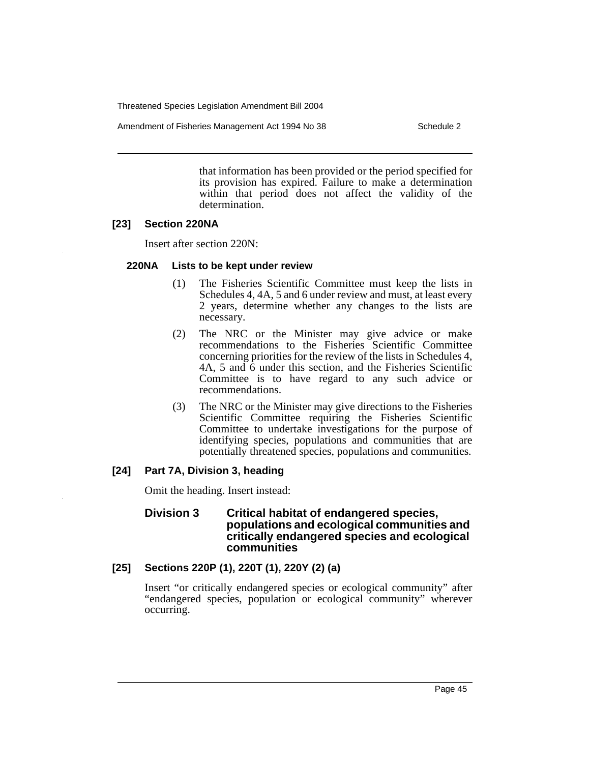Amendment of Fisheries Management Act 1994 No 38 Schedule 2

that information has been provided or the period specified for its provision has expired. Failure to make a determination within that period does not affect the validity of the determination.

# **[23] Section 220NA**

Insert after section 220N:

## **220NA Lists to be kept under review**

- (1) The Fisheries Scientific Committee must keep the lists in Schedules 4, 4A, 5 and 6 under review and must, at least every 2 years, determine whether any changes to the lists are necessary.
- (2) The NRC or the Minister may give advice or make recommendations to the Fisheries Scientific Committee concerning priorities for the review of the lists in Schedules 4, 4A, 5 and 6 under this section, and the Fisheries Scientific Committee is to have regard to any such advice or recommendations.
- (3) The NRC or the Minister may give directions to the Fisheries Scientific Committee requiring the Fisheries Scientific Committee to undertake investigations for the purpose of identifying species, populations and communities that are potentially threatened species, populations and communities.

## **[24] Part 7A, Division 3, heading**

Omit the heading. Insert instead:

#### **Division 3 Critical habitat of endangered species, populations and ecological communities and critically endangered species and ecological communities**

# **[25] Sections 220P (1), 220T (1), 220Y (2) (a)**

Insert "or critically endangered species or ecological community" after "endangered species, population or ecological community" wherever occurring.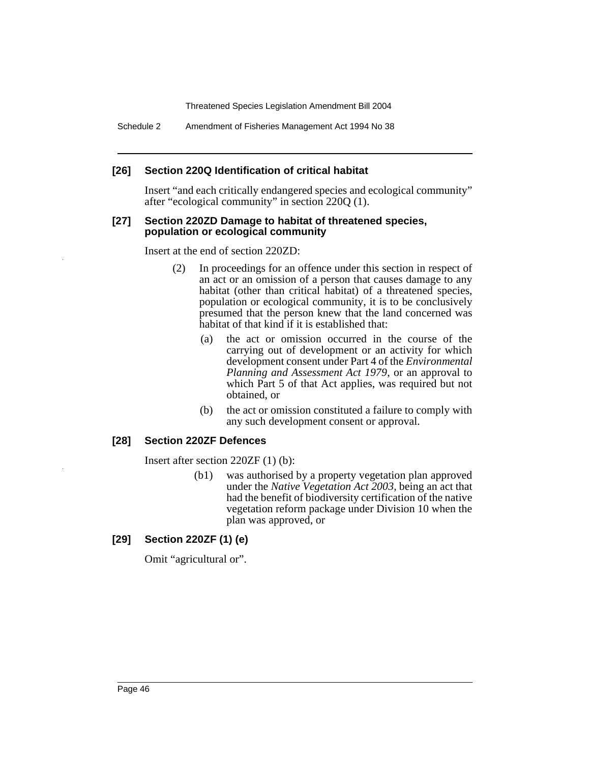Schedule 2 Amendment of Fisheries Management Act 1994 No 38

## **[26] Section 220Q Identification of critical habitat**

Insert "and each critically endangered species and ecological community" after "ecological community" in section 220Q (1).

#### **[27] Section 220ZD Damage to habitat of threatened species, population or ecological community**

Insert at the end of section 220ZD:

- (2) In proceedings for an offence under this section in respect of an act or an omission of a person that causes damage to any habitat (other than critical habitat) of a threatened species, population or ecological community, it is to be conclusively presumed that the person knew that the land concerned was habitat of that kind if it is established that:
	- (a) the act or omission occurred in the course of the carrying out of development or an activity for which development consent under Part 4 of the *Environmental Planning and Assessment Act 1979*, or an approval to which Part 5 of that Act applies, was required but not obtained, or
	- (b) the act or omission constituted a failure to comply with any such development consent or approval.

## **[28] Section 220ZF Defences**

Insert after section 220ZF (1) (b):

(b1) was authorised by a property vegetation plan approved under the *Native Vegetation Act 2003*, being an act that had the benefit of biodiversity certification of the native vegetation reform package under Division 10 when the plan was approved, or

# **[29] Section 220ZF (1) (e)**

Omit "agricultural or".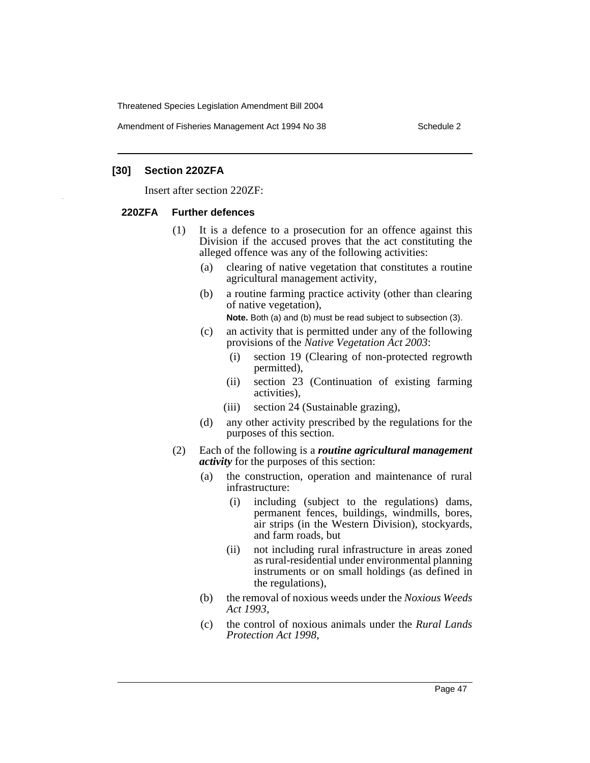Amendment of Fisheries Management Act 1994 No 38 Schedule 2

#### **[30] Section 220ZFA**

Insert after section 220ZF:

#### **220ZFA Further defences**

- (1) It is a defence to a prosecution for an offence against this Division if the accused proves that the act constituting the alleged offence was any of the following activities:
	- (a) clearing of native vegetation that constitutes a routine agricultural management activity,
	- (b) a routine farming practice activity (other than clearing of native vegetation),

**Note.** Both (a) and (b) must be read subject to subsection (3).

- (c) an activity that is permitted under any of the following provisions of the *Native Vegetation Act 2003*:
	- (i) section 19 (Clearing of non-protected regrowth permitted),
	- (ii) section 23 (Continuation of existing farming activities),
	- (iii) section 24 (Sustainable grazing),
- (d) any other activity prescribed by the regulations for the purposes of this section.
- (2) Each of the following is a *routine agricultural management activity* for the purposes of this section:
	- (a) the construction, operation and maintenance of rural infrastructure:
		- (i) including (subject to the regulations) dams, permanent fences, buildings, windmills, bores, air strips (in the Western Division), stockyards, and farm roads, but
		- (ii) not including rural infrastructure in areas zoned as rural-residential under environmental planning instruments or on small holdings (as defined in the regulations),
	- (b) the removal of noxious weeds under the *Noxious Weeds Act 1993*,
	- (c) the control of noxious animals under the *Rural Lands Protection Act 1998*,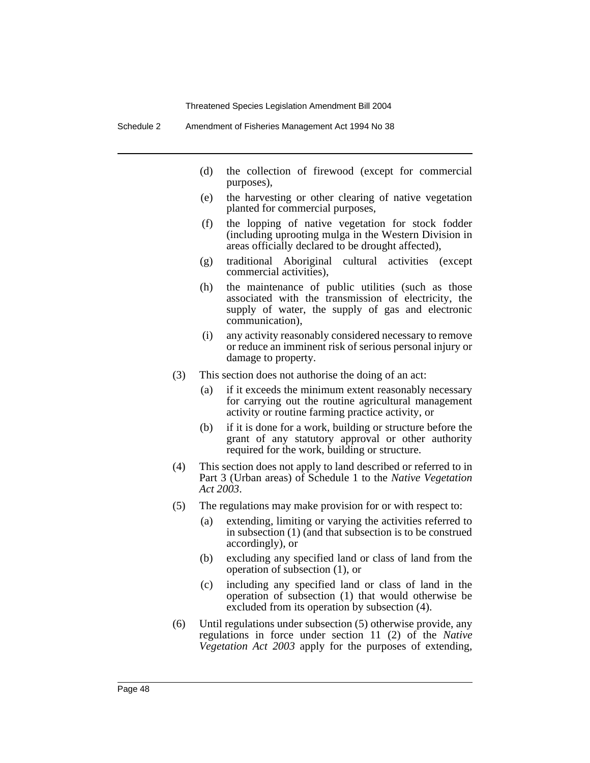Schedule 2 Amendment of Fisheries Management Act 1994 No 38

- (d) the collection of firewood (except for commercial purposes),
- (e) the harvesting or other clearing of native vegetation planted for commercial purposes,
- (f) the lopping of native vegetation for stock fodder (including uprooting mulga in the Western Division in areas officially declared to be drought affected),
- (g) traditional Aboriginal cultural activities (except commercial activities),
- (h) the maintenance of public utilities (such as those associated with the transmission of electricity, the supply of water, the supply of gas and electronic communication),
- (i) any activity reasonably considered necessary to remove or reduce an imminent risk of serious personal injury or damage to property.
- (3) This section does not authorise the doing of an act:
	- (a) if it exceeds the minimum extent reasonably necessary for carrying out the routine agricultural management activity or routine farming practice activity, or
	- (b) if it is done for a work, building or structure before the grant of any statutory approval or other authority required for the work, building or structure.
- (4) This section does not apply to land described or referred to in Part 3 (Urban areas) of Schedule 1 to the *Native Vegetation Act 2003*.
- (5) The regulations may make provision for or with respect to:
	- (a) extending, limiting or varying the activities referred to in subsection (1) (and that subsection is to be construed accordingly), or
	- (b) excluding any specified land or class of land from the operation of subsection (1), or
	- (c) including any specified land or class of land in the operation of subsection (1) that would otherwise be excluded from its operation by subsection (4).
- (6) Until regulations under subsection (5) otherwise provide, any regulations in force under section 11 (2) of the *Native Vegetation Act 2003* apply for the purposes of extending,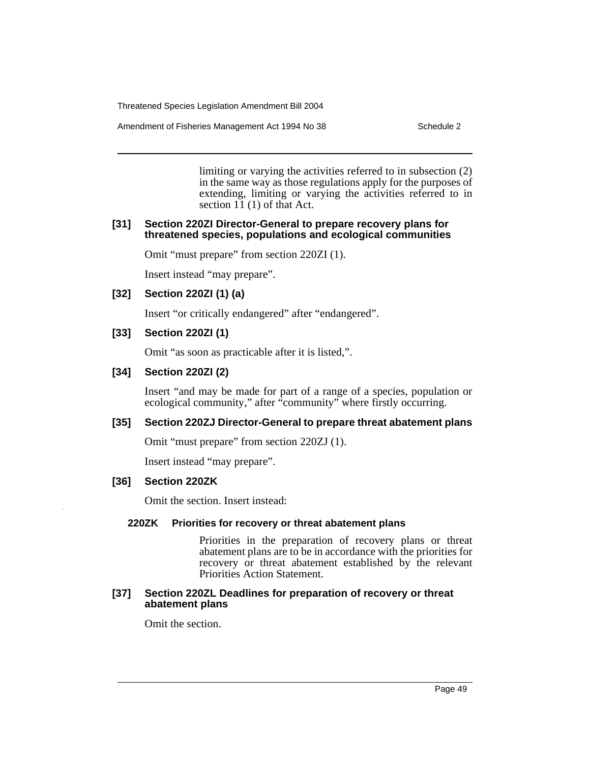Amendment of Fisheries Management Act 1994 No 38 Schedule 2

limiting or varying the activities referred to in subsection (2) in the same way as those regulations apply for the purposes of extending, limiting or varying the activities referred to in section 11 (1) of that Act.

#### **[31] Section 220ZI Director-General to prepare recovery plans for threatened species, populations and ecological communities**

Omit "must prepare" from section 220ZI (1).

Insert instead "may prepare".

## **[32] Section 220ZI (1) (a)**

Insert "or critically endangered" after "endangered".

## **[33] Section 220ZI (1)**

Omit "as soon as practicable after it is listed,".

## **[34] Section 220ZI (2)**

Insert "and may be made for part of a range of a species, population or ecological community," after "community" where firstly occurring.

## **[35] Section 220ZJ Director-General to prepare threat abatement plans**

Omit "must prepare" from section 220ZJ (1).

Insert instead "may prepare".

## **[36] Section 220ZK**

Omit the section. Insert instead:

#### **220ZK Priorities for recovery or threat abatement plans**

Priorities in the preparation of recovery plans or threat abatement plans are to be in accordance with the priorities for recovery or threat abatement established by the relevant Priorities Action Statement.

#### **[37] Section 220ZL Deadlines for preparation of recovery or threat abatement plans**

Omit the section.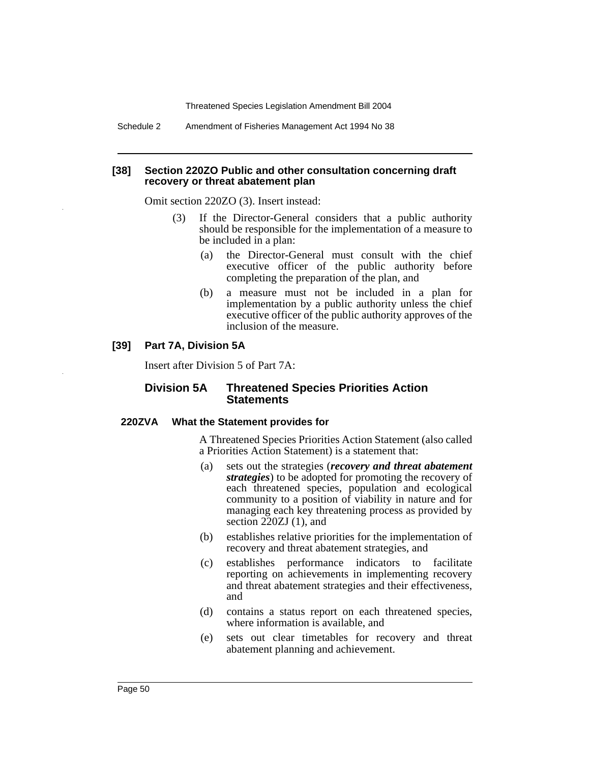Schedule 2 Amendment of Fisheries Management Act 1994 No 38

#### **[38] Section 220ZO Public and other consultation concerning draft recovery or threat abatement plan**

Omit section 220ZO (3). Insert instead:

- (3) If the Director-General considers that a public authority should be responsible for the implementation of a measure to be included in a plan:
	- (a) the Director-General must consult with the chief executive officer of the public authority before completing the preparation of the plan, and
	- (b) a measure must not be included in a plan for implementation by a public authority unless the chief executive officer of the public authority approves of the inclusion of the measure.

## **[39] Part 7A, Division 5A**

Insert after Division 5 of Part 7A:

## **Division 5A Threatened Species Priorities Action Statements**

#### **220ZVA What the Statement provides for**

A Threatened Species Priorities Action Statement (also called a Priorities Action Statement) is a statement that:

- (a) sets out the strategies (*recovery and threat abatement strategies*) to be adopted for promoting the recovery of each threatened species, population and ecological community to a position of viability in nature and for managing each key threatening process as provided by section 220ZJ (1), and
- (b) establishes relative priorities for the implementation of recovery and threat abatement strategies, and
- (c) establishes performance indicators to facilitate reporting on achievements in implementing recovery and threat abatement strategies and their effectiveness, and
- (d) contains a status report on each threatened species, where information is available, and
- (e) sets out clear timetables for recovery and threat abatement planning and achievement.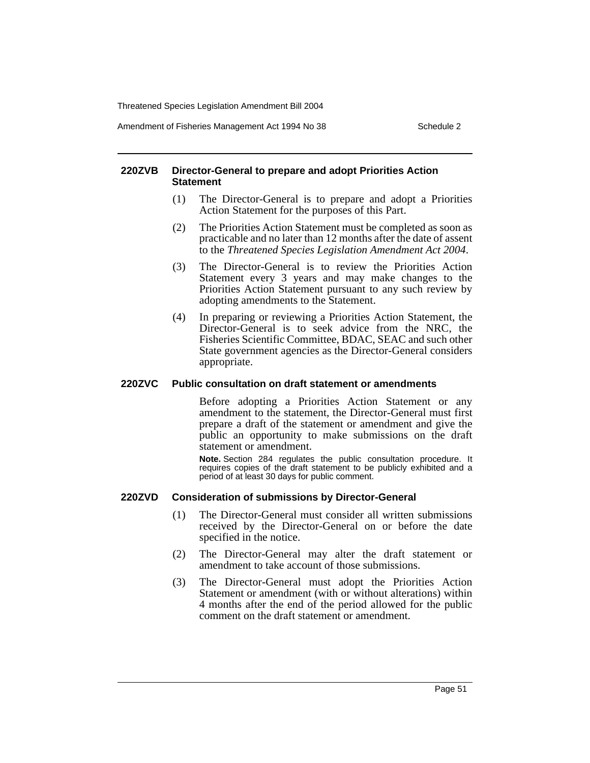Amendment of Fisheries Management Act 1994 No 38 Schedule 2

#### **220ZVB Director-General to prepare and adopt Priorities Action Statement**

- (1) The Director-General is to prepare and adopt a Priorities Action Statement for the purposes of this Part.
- (2) The Priorities Action Statement must be completed as soon as practicable and no later than 12 months after the date of assent to the *Threatened Species Legislation Amendment Act 2004*.
- (3) The Director-General is to review the Priorities Action Statement every 3 years and may make changes to the Priorities Action Statement pursuant to any such review by adopting amendments to the Statement.
- (4) In preparing or reviewing a Priorities Action Statement, the Director-General is to seek advice from the NRC, the Fisheries Scientific Committee, BDAC, SEAC and such other State government agencies as the Director-General considers appropriate.

#### **220ZVC Public consultation on draft statement or amendments**

Before adopting a Priorities Action Statement or any amendment to the statement, the Director-General must first prepare a draft of the statement or amendment and give the public an opportunity to make submissions on the draft statement or amendment.

**Note.** Section 284 regulates the public consultation procedure. It requires copies of the draft statement to be publicly exhibited and a period of at least 30 days for public comment.

## **220ZVD Consideration of submissions by Director-General**

- (1) The Director-General must consider all written submissions received by the Director-General on or before the date specified in the notice.
- (2) The Director-General may alter the draft statement or amendment to take account of those submissions.
- (3) The Director-General must adopt the Priorities Action Statement or amendment (with or without alterations) within 4 months after the end of the period allowed for the public comment on the draft statement or amendment.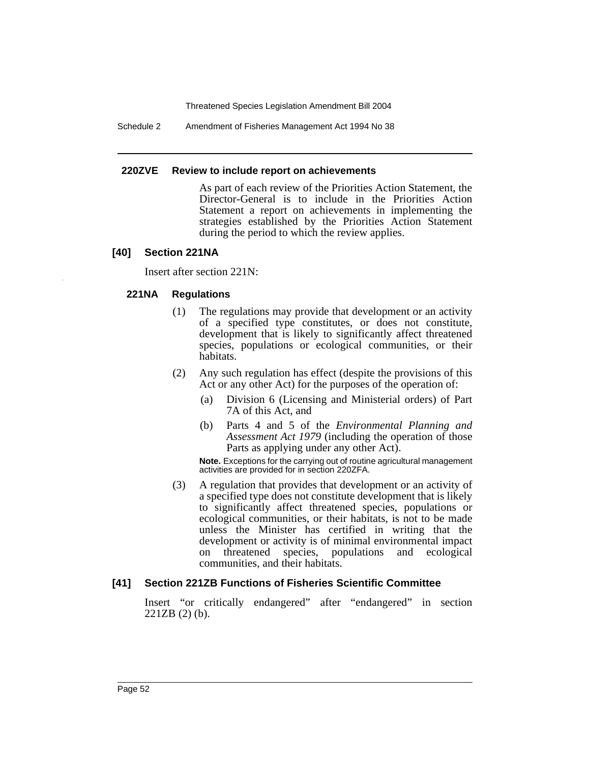Schedule 2 Amendment of Fisheries Management Act 1994 No 38

#### **220ZVE Review to include report on achievements**

As part of each review of the Priorities Action Statement, the Director-General is to include in the Priorities Action Statement a report on achievements in implementing the strategies established by the Priorities Action Statement during the period to which the review applies.

# **[40] Section 221NA**

Insert after section 221N:

# **221NA Regulations**

- (1) The regulations may provide that development or an activity of a specified type constitutes, or does not constitute, development that is likely to significantly affect threatened species, populations or ecological communities, or their habitats.
- (2) Any such regulation has effect (despite the provisions of this Act or any other Act) for the purposes of the operation of:
	- (a) Division 6 (Licensing and Ministerial orders) of Part 7A of this Act, and
	- (b) Parts 4 and 5 of the *Environmental Planning and Assessment Act 1979* (including the operation of those Parts as applying under any other Act).

**Note.** Exceptions for the carrying out of routine agricultural management activities are provided for in section 220ZFA.

(3) A regulation that provides that development or an activity of a specified type does not constitute development that is likely to significantly affect threatened species, populations or ecological communities, or their habitats, is not to be made unless the Minister has certified in writing that the development or activity is of minimal environmental impact on threatened species, populations and ecological communities, and their habitats.

# **[41] Section 221ZB Functions of Fisheries Scientific Committee**

Insert "or critically endangered" after "endangered" in section 221ZB (2) (b).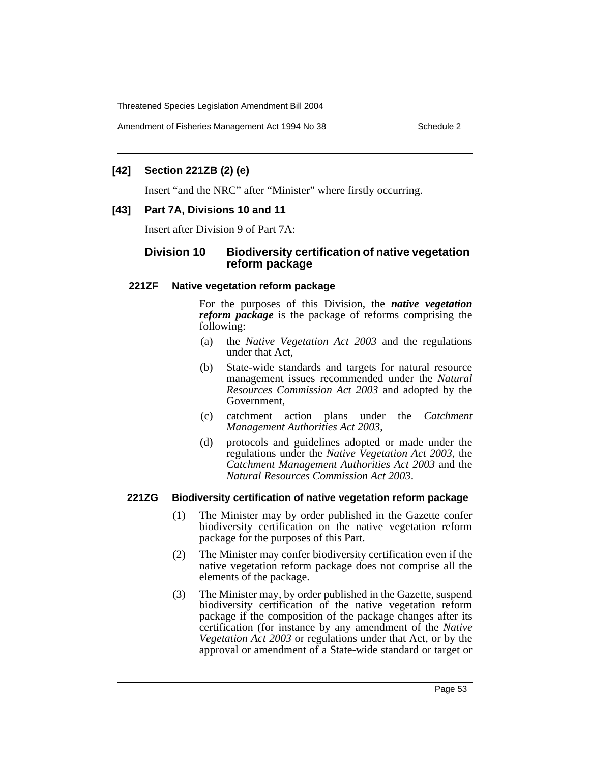Amendment of Fisheries Management Act 1994 No 38 Schedule 2

# **[42] Section 221ZB (2) (e)**

Insert "and the NRC" after "Minister" where firstly occurring.

# **[43] Part 7A, Divisions 10 and 11**

Insert after Division 9 of Part 7A:

# **Division 10 Biodiversity certification of native vegetation reform package**

## **221ZF Native vegetation reform package**

For the purposes of this Division, the *native vegetation reform package* is the package of reforms comprising the following:

- (a) the *Native Vegetation Act 2003* and the regulations under that Act,
- (b) State-wide standards and targets for natural resource management issues recommended under the *Natural Resources Commission Act 2003* and adopted by the Government,
- (c) catchment action plans under the *Catchment Management Authorities Act 2003*,
- (d) protocols and guidelines adopted or made under the regulations under the *Native Vegetation Act 2003*, the *Catchment Management Authorities Act 2003* and the *Natural Resources Commission Act 2003*.

## **221ZG Biodiversity certification of native vegetation reform package**

- (1) The Minister may by order published in the Gazette confer biodiversity certification on the native vegetation reform package for the purposes of this Part.
- (2) The Minister may confer biodiversity certification even if the native vegetation reform package does not comprise all the elements of the package.
- (3) The Minister may, by order published in the Gazette, suspend biodiversity certification of the native vegetation reform package if the composition of the package changes after its certification (for instance by any amendment of the *Native Vegetation Act 2003* or regulations under that Act, or by the approval or amendment of a State-wide standard or target or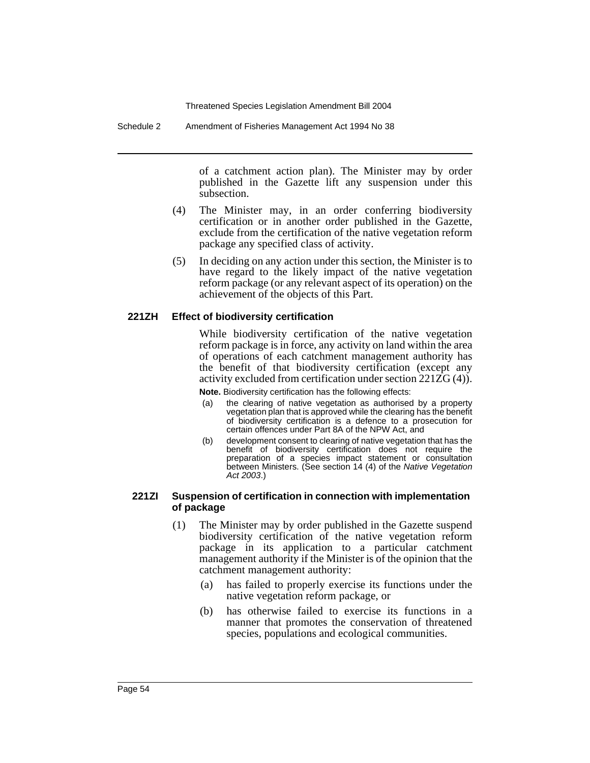Schedule 2 Amendment of Fisheries Management Act 1994 No 38

of a catchment action plan). The Minister may by order published in the Gazette lift any suspension under this subsection.

- (4) The Minister may, in an order conferring biodiversity certification or in another order published in the Gazette, exclude from the certification of the native vegetation reform package any specified class of activity.
- (5) In deciding on any action under this section, the Minister is to have regard to the likely impact of the native vegetation reform package (or any relevant aspect of its operation) on the achievement of the objects of this Part.

#### **221ZH Effect of biodiversity certification**

While biodiversity certification of the native vegetation reform package is in force, any activity on land within the area of operations of each catchment management authority has the benefit of that biodiversity certification (except any activity excluded from certification under section 221ZG (4)).

**Note.** Biodiversity certification has the following effects:

- (a) the clearing of native vegetation as authorised by a property vegetation plan that is approved while the clearing has the benefit of biodiversity certification is a defence to a prosecution for certain offences under Part 8A of the NPW Act, and
- (b) development consent to clearing of native vegetation that has the benefit of biodiversity certification does not require the preparation of a species impact statement or consultation between Ministers. (See section 14 (4) of the Native Vegetation Act 2003.)

#### **221ZI Suspension of certification in connection with implementation of package**

- (1) The Minister may by order published in the Gazette suspend biodiversity certification of the native vegetation reform package in its application to a particular catchment management authority if the Minister is of the opinion that the catchment management authority:
	- (a) has failed to properly exercise its functions under the native vegetation reform package, or
	- (b) has otherwise failed to exercise its functions in a manner that promotes the conservation of threatened species, populations and ecological communities.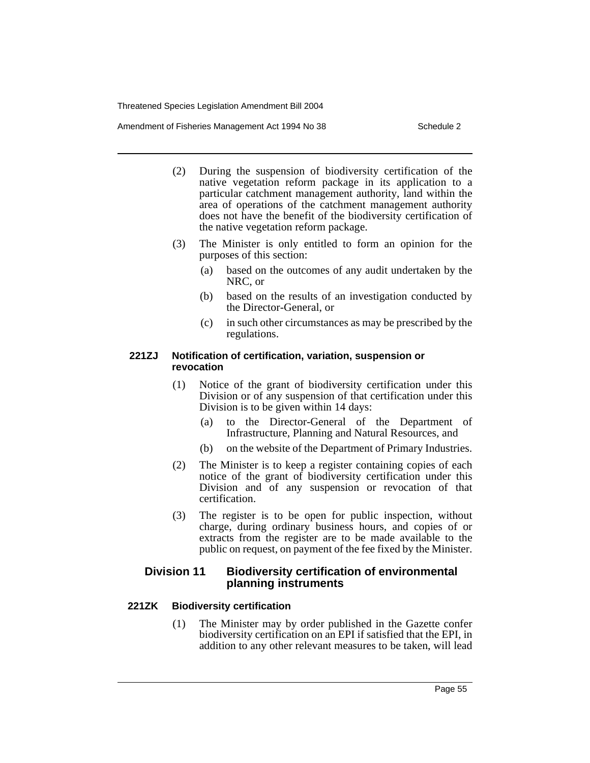Amendment of Fisheries Management Act 1994 No 38 Schedule 2

- (2) During the suspension of biodiversity certification of the native vegetation reform package in its application to a particular catchment management authority, land within the area of operations of the catchment management authority does not have the benefit of the biodiversity certification of the native vegetation reform package.
- (3) The Minister is only entitled to form an opinion for the purposes of this section:
	- (a) based on the outcomes of any audit undertaken by the NRC, or
	- (b) based on the results of an investigation conducted by the Director-General, or
	- (c) in such other circumstances as may be prescribed by the regulations.

## **221ZJ Notification of certification, variation, suspension or revocation**

- (1) Notice of the grant of biodiversity certification under this Division or of any suspension of that certification under this Division is to be given within 14 days:
	- (a) to the Director-General of the Department of Infrastructure, Planning and Natural Resources, and
	- (b) on the website of the Department of Primary Industries.
- (2) The Minister is to keep a register containing copies of each notice of the grant of biodiversity certification under this Division and of any suspension or revocation of that certification.
- (3) The register is to be open for public inspection, without charge, during ordinary business hours, and copies of or extracts from the register are to be made available to the public on request, on payment of the fee fixed by the Minister.

# **Division 11 Biodiversity certification of environmental planning instruments**

# **221ZK Biodiversity certification**

(1) The Minister may by order published in the Gazette confer biodiversity certification on an EPI if satisfied that the EPI, in addition to any other relevant measures to be taken, will lead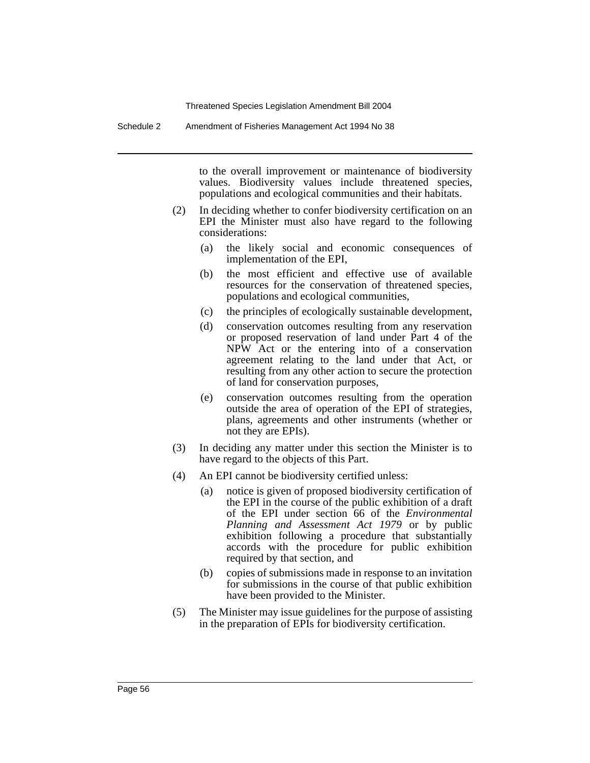Schedule 2 Amendment of Fisheries Management Act 1994 No 38

to the overall improvement or maintenance of biodiversity values. Biodiversity values include threatened species, populations and ecological communities and their habitats.

- (2) In deciding whether to confer biodiversity certification on an EPI the Minister must also have regard to the following considerations:
	- (a) the likely social and economic consequences of implementation of the EPI,
	- (b) the most efficient and effective use of available resources for the conservation of threatened species, populations and ecological communities,
	- (c) the principles of ecologically sustainable development,
	- (d) conservation outcomes resulting from any reservation or proposed reservation of land under Part 4 of the NPW Act or the entering into of a conservation agreement relating to the land under that Act, or resulting from any other action to secure the protection of land for conservation purposes,
	- (e) conservation outcomes resulting from the operation outside the area of operation of the EPI of strategies, plans, agreements and other instruments (whether or not they are EPIs).
- (3) In deciding any matter under this section the Minister is to have regard to the objects of this Part.
- (4) An EPI cannot be biodiversity certified unless:
	- (a) notice is given of proposed biodiversity certification of the EPI in the course of the public exhibition of a draft of the EPI under section 66 of the *Environmental Planning and Assessment Act 1979* or by public exhibition following a procedure that substantially accords with the procedure for public exhibition required by that section, and
	- (b) copies of submissions made in response to an invitation for submissions in the course of that public exhibition have been provided to the Minister.
- (5) The Minister may issue guidelines for the purpose of assisting in the preparation of EPIs for biodiversity certification.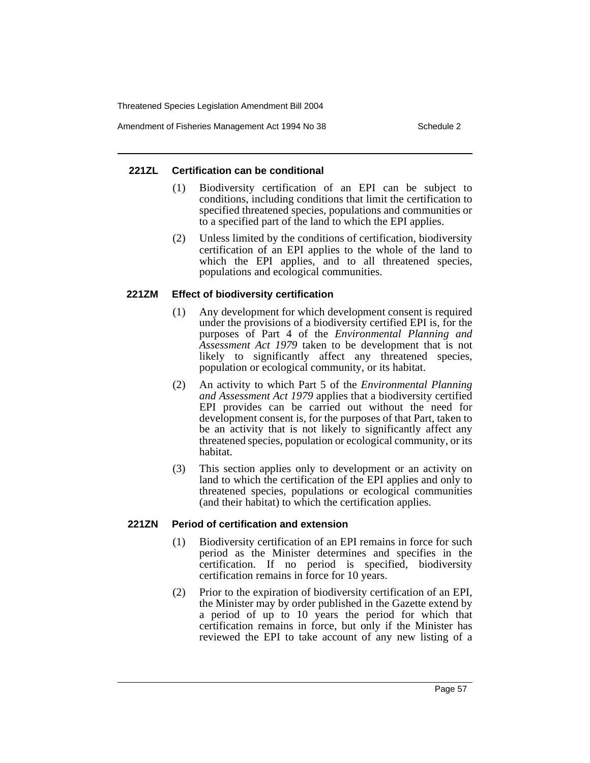Amendment of Fisheries Management Act 1994 No 38 Schedule 2

## **221ZL Certification can be conditional**

- (1) Biodiversity certification of an EPI can be subject to conditions, including conditions that limit the certification to specified threatened species, populations and communities or to a specified part of the land to which the EPI applies.
- (2) Unless limited by the conditions of certification, biodiversity certification of an EPI applies to the whole of the land to which the EPI applies, and to all threatened species, populations and ecological communities.

# **221ZM Effect of biodiversity certification**

- (1) Any development for which development consent is required under the provisions of a biodiversity certified EPI is, for the purposes of Part 4 of the *Environmental Planning and Assessment Act 1979* taken to be development that is not likely to significantly affect any threatened species, population or ecological community, or its habitat.
- (2) An activity to which Part 5 of the *Environmental Planning and Assessment Act 1979* applies that a biodiversity certified EPI provides can be carried out without the need for development consent is, for the purposes of that Part, taken to be an activity that is not likely to significantly affect any threatened species, population or ecological community, or its habitat.
- (3) This section applies only to development or an activity on land to which the certification of the EPI applies and only to threatened species, populations or ecological communities (and their habitat) to which the certification applies.

## **221ZN Period of certification and extension**

- (1) Biodiversity certification of an EPI remains in force for such period as the Minister determines and specifies in the certification. If no period is specified, biodiversity certification remains in force for 10 years.
- (2) Prior to the expiration of biodiversity certification of an EPI, the Minister may by order published in the Gazette extend by a period of up to 10 years the period for which that certification remains in force, but only if the Minister has reviewed the EPI to take account of any new listing of a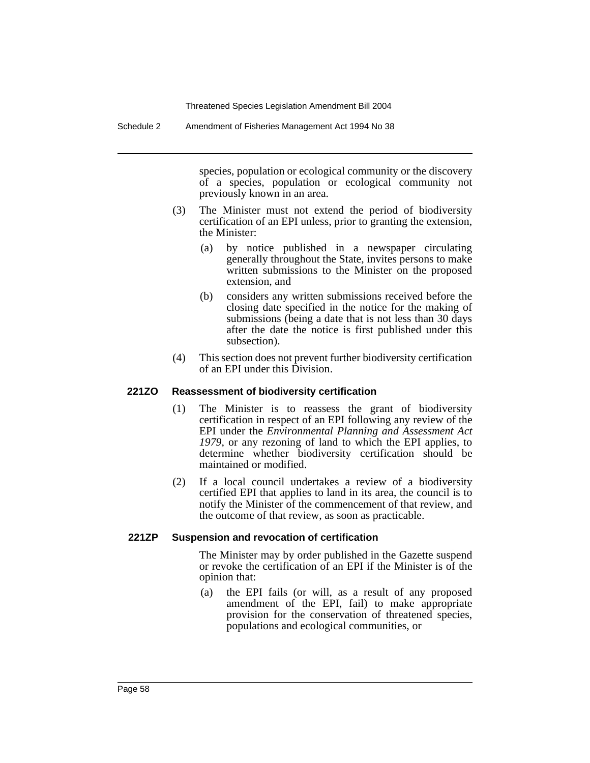Schedule 2 Amendment of Fisheries Management Act 1994 No 38

species, population or ecological community or the discovery of a species, population or ecological community not previously known in an area.

- (3) The Minister must not extend the period of biodiversity certification of an EPI unless, prior to granting the extension, the Minister:
	- (a) by notice published in a newspaper circulating generally throughout the State, invites persons to make written submissions to the Minister on the proposed extension, and
	- (b) considers any written submissions received before the closing date specified in the notice for the making of submissions (being a date that is not less than 30 days after the date the notice is first published under this subsection).
- (4) This section does not prevent further biodiversity certification of an EPI under this Division.

#### **221ZO Reassessment of biodiversity certification**

- (1) The Minister is to reassess the grant of biodiversity certification in respect of an EPI following any review of the EPI under the *Environmental Planning and Assessment Act 1979*, or any rezoning of land to which the EPI applies, to determine whether biodiversity certification should be maintained or modified.
- (2) If a local council undertakes a review of a biodiversity certified EPI that applies to land in its area, the council is to notify the Minister of the commencement of that review, and the outcome of that review, as soon as practicable.

#### **221ZP Suspension and revocation of certification**

The Minister may by order published in the Gazette suspend or revoke the certification of an EPI if the Minister is of the opinion that:

(a) the EPI fails (or will, as a result of any proposed amendment of the EPI, fail) to make appropriate provision for the conservation of threatened species, populations and ecological communities, or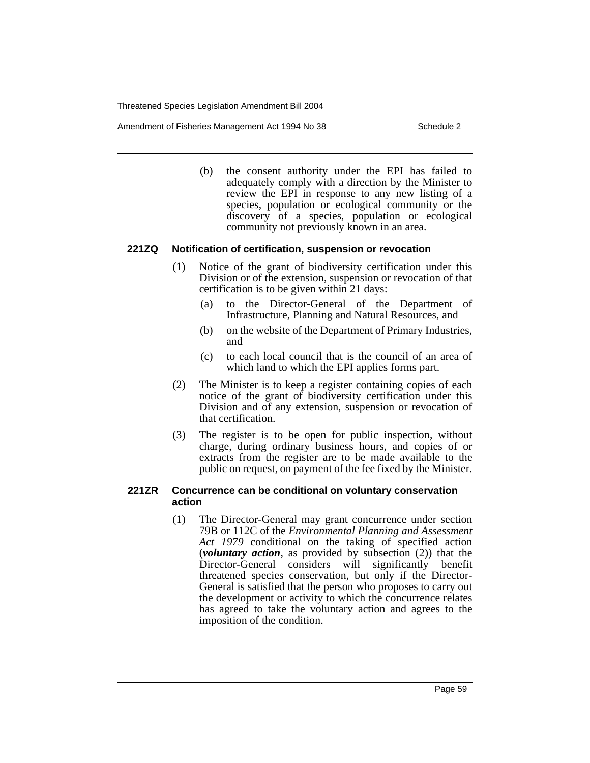Amendment of Fisheries Management Act 1994 No 38 Schedule 2

(b) the consent authority under the EPI has failed to adequately comply with a direction by the Minister to review the EPI in response to any new listing of a species, population or ecological community or the discovery of a species, population or ecological community not previously known in an area.

## **221ZQ Notification of certification, suspension or revocation**

- (1) Notice of the grant of biodiversity certification under this Division or of the extension, suspension or revocation of that certification is to be given within 21 days:
	- (a) to the Director-General of the Department of Infrastructure, Planning and Natural Resources, and
	- (b) on the website of the Department of Primary Industries, and
	- (c) to each local council that is the council of an area of which land to which the EPI applies forms part.
- (2) The Minister is to keep a register containing copies of each notice of the grant of biodiversity certification under this Division and of any extension, suspension or revocation of that certification.
- (3) The register is to be open for public inspection, without charge, during ordinary business hours, and copies of or extracts from the register are to be made available to the public on request, on payment of the fee fixed by the Minister.

#### **221ZR Concurrence can be conditional on voluntary conservation action**

(1) The Director-General may grant concurrence under section 79B or 112C of the *Environmental Planning and Assessment Act 1979* conditional on the taking of specified action (*voluntary action*, as provided by subsection (2)) that the Director-General considers will significantly benefit threatened species conservation, but only if the Director-General is satisfied that the person who proposes to carry out the development or activity to which the concurrence relates has agreed to take the voluntary action and agrees to the imposition of the condition.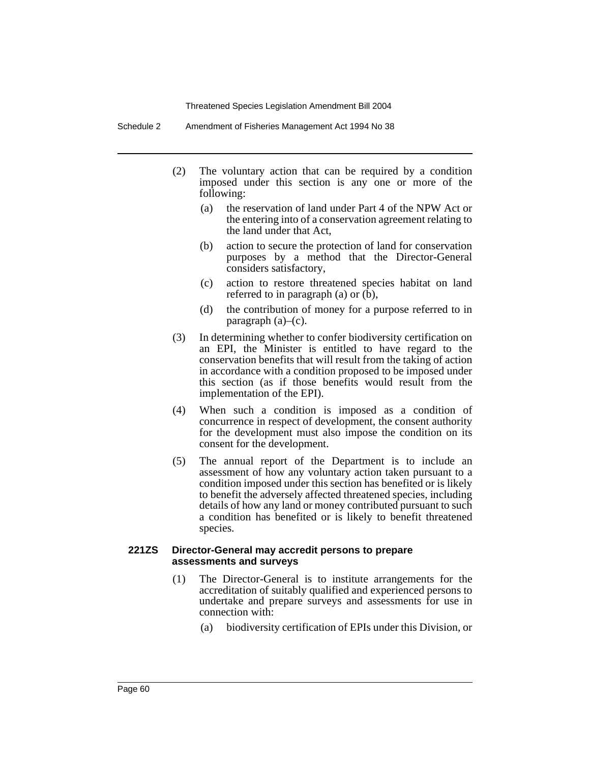Schedule 2 Amendment of Fisheries Management Act 1994 No 38

- (2) The voluntary action that can be required by a condition imposed under this section is any one or more of the following:
	- (a) the reservation of land under Part 4 of the NPW Act or the entering into of a conservation agreement relating to the land under that Act,
	- (b) action to secure the protection of land for conservation purposes by a method that the Director-General considers satisfactory,
	- (c) action to restore threatened species habitat on land referred to in paragraph (a) or (b),
	- (d) the contribution of money for a purpose referred to in paragraph  $(a)$ – $(c)$ .
- (3) In determining whether to confer biodiversity certification on an EPI, the Minister is entitled to have regard to the conservation benefits that will result from the taking of action in accordance with a condition proposed to be imposed under this section (as if those benefits would result from the implementation of the EPI).
- (4) When such a condition is imposed as a condition of concurrence in respect of development, the consent authority for the development must also impose the condition on its consent for the development.
- (5) The annual report of the Department is to include an assessment of how any voluntary action taken pursuant to a condition imposed under this section has benefited or is likely to benefit the adversely affected threatened species, including details of how any land or money contributed pursuant to such a condition has benefited or is likely to benefit threatened species.

#### **221ZS Director-General may accredit persons to prepare assessments and surveys**

- (1) The Director-General is to institute arrangements for the accreditation of suitably qualified and experienced persons to undertake and prepare surveys and assessments for use in connection with:
	- (a) biodiversity certification of EPIs under this Division, or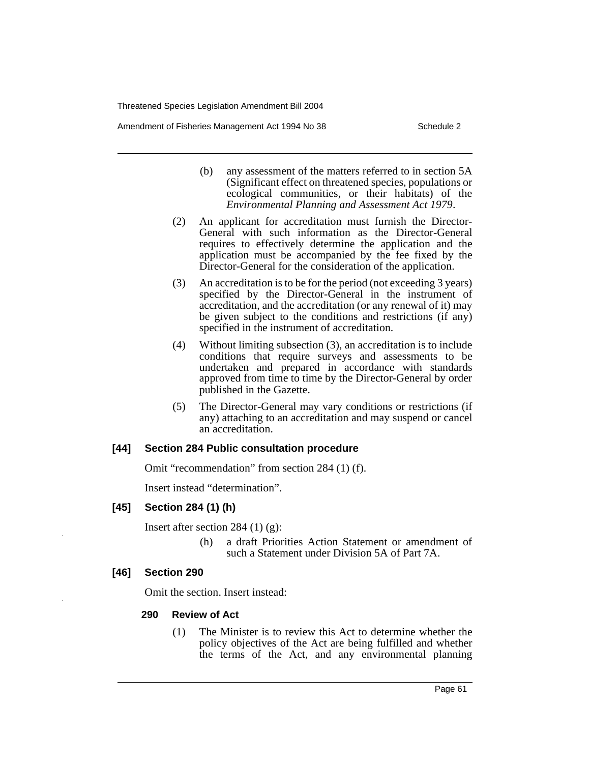Amendment of Fisheries Management Act 1994 No 38 Schedule 2

- (b) any assessment of the matters referred to in section 5A (Significant effect on threatened species, populations or ecological communities, or their habitats) of the *Environmental Planning and Assessment Act 1979*.
- (2) An applicant for accreditation must furnish the Director-General with such information as the Director-General requires to effectively determine the application and the application must be accompanied by the fee fixed by the Director-General for the consideration of the application.
- (3) An accreditation is to be for the period (not exceeding 3 years) specified by the Director-General in the instrument of accreditation, and the accreditation (or any renewal of it) may be given subject to the conditions and restrictions (if any) specified in the instrument of accreditation.
- (4) Without limiting subsection (3), an accreditation is to include conditions that require surveys and assessments to be undertaken and prepared in accordance with standards approved from time to time by the Director-General by order published in the Gazette.
- (5) The Director-General may vary conditions or restrictions (if any) attaching to an accreditation and may suspend or cancel an accreditation.

## **[44] Section 284 Public consultation procedure**

Omit "recommendation" from section 284 (1) (f).

Insert instead "determination".

## **[45] Section 284 (1) (h)**

Insert after section 284  $(1)$   $(g)$ :

(h) a draft Priorities Action Statement or amendment of such a Statement under Division 5A of Part 7A.

## **[46] Section 290**

Omit the section. Insert instead:

## **290 Review of Act**

(1) The Minister is to review this Act to determine whether the policy objectives of the Act are being fulfilled and whether the terms of the Act, and any environmental planning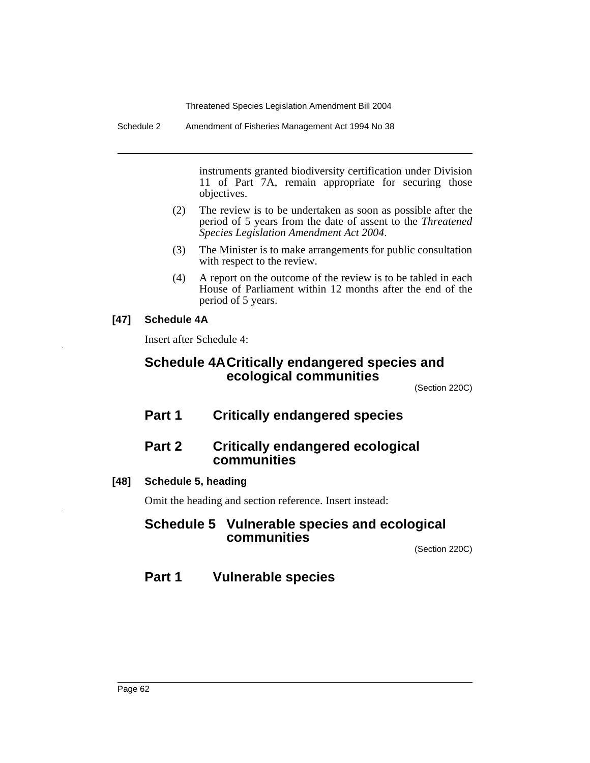Schedule 2 Amendment of Fisheries Management Act 1994 No 38

instruments granted biodiversity certification under Division 11 of Part 7A, remain appropriate for securing those objectives.

- (2) The review is to be undertaken as soon as possible after the period of 5 years from the date of assent to the *Threatened Species Legislation Amendment Act 2004*.
- (3) The Minister is to make arrangements for public consultation with respect to the review.
- (4) A report on the outcome of the review is to be tabled in each House of Parliament within 12 months after the end of the period of 5 years.

# **[47] Schedule 4A**

Insert after Schedule 4:

# **Schedule 4ACritically endangered species and ecological communities**

(Section 220C)

**Part 1 Critically endangered species**

# **Part 2 Critically endangered ecological communities**

# **[48] Schedule 5, heading**

Omit the heading and section reference. Insert instead:

# **Schedule 5 Vulnerable species and ecological communities**

(Section 220C)

# **Part 1 Vulnerable species**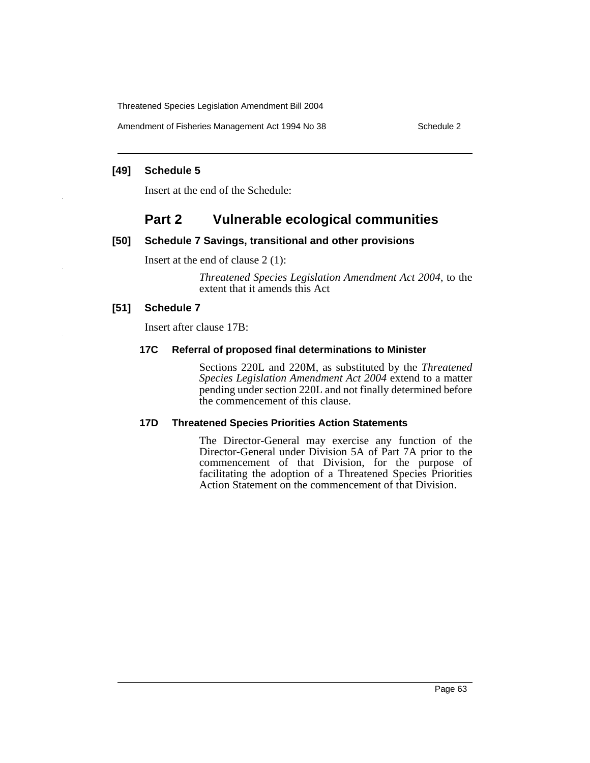Amendment of Fisheries Management Act 1994 No 38 Schedule 2

#### **[49] Schedule 5**

Insert at the end of the Schedule:

# **Part 2 Vulnerable ecological communities**

## **[50] Schedule 7 Savings, transitional and other provisions**

Insert at the end of clause 2 (1):

*Threatened Species Legislation Amendment Act 2004*, to the extent that it amends this Act

## **[51] Schedule 7**

Insert after clause 17B:

## **17C Referral of proposed final determinations to Minister**

Sections 220L and 220M, as substituted by the *Threatened Species Legislation Amendment Act 2004* extend to a matter pending under section 220L and not finally determined before the commencement of this clause.

## **17D Threatened Species Priorities Action Statements**

The Director-General may exercise any function of the Director-General under Division 5A of Part 7A prior to the commencement of that Division, for the purpose of facilitating the adoption of a Threatened Species Priorities Action Statement on the commencement of that Division.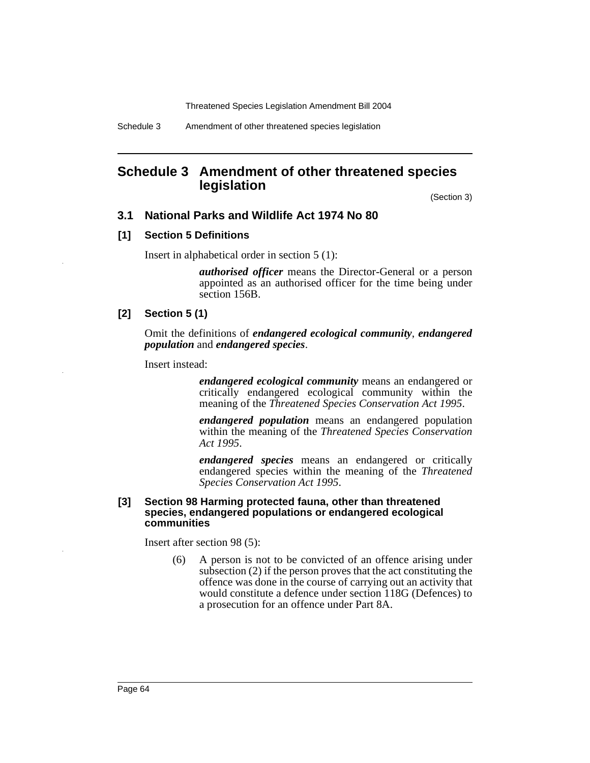# **Schedule 3 Amendment of other threatened species legislation**

(Section 3)

#### **3.1 National Parks and Wildlife Act 1974 No 80**

#### **[1] Section 5 Definitions**

Insert in alphabetical order in section 5 (1):

*authorised officer* means the Director-General or a person appointed as an authorised officer for the time being under section 156B.

## **[2] Section 5 (1)**

Omit the definitions of *endangered ecological community*, *endangered population* and *endangered species*.

Insert instead:

*endangered ecological community* means an endangered or critically endangered ecological community within the meaning of the *Threatened Species Conservation Act 1995*.

*endangered population* means an endangered population within the meaning of the *Threatened Species Conservation Act 1995*.

*endangered species* means an endangered or critically endangered species within the meaning of the *Threatened Species Conservation Act 1995*.

#### **[3] Section 98 Harming protected fauna, other than threatened species, endangered populations or endangered ecological communities**

Insert after section 98 (5):

(6) A person is not to be convicted of an offence arising under subsection (2) if the person proves that the act constituting the offence was done in the course of carrying out an activity that would constitute a defence under section 118G (Defences) to a prosecution for an offence under Part 8A.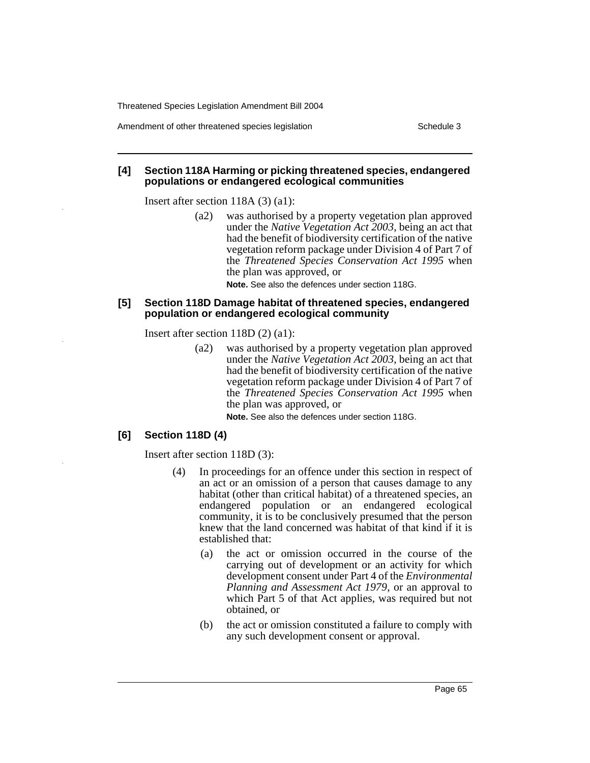#### **[4] Section 118A Harming or picking threatened species, endangered populations or endangered ecological communities**

Insert after section 118A (3) (a1):

(a2) was authorised by a property vegetation plan approved under the *Native Vegetation Act 2003*, being an act that had the benefit of biodiversity certification of the native vegetation reform package under Division 4 of Part 7 of the *Threatened Species Conservation Act 1995* when the plan was approved, or

**Note.** See also the defences under section 118G.

#### **[5] Section 118D Damage habitat of threatened species, endangered population or endangered ecological community**

Insert after section 118D (2) (a1):

(a2) was authorised by a property vegetation plan approved under the *Native Vegetation Act 2003*, being an act that had the benefit of biodiversity certification of the native vegetation reform package under Division 4 of Part 7 of the *Threatened Species Conservation Act 1995* when the plan was approved, or

**Note.** See also the defences under section 118G.

## **[6] Section 118D (4)**

Insert after section 118D (3):

- (4) In proceedings for an offence under this section in respect of an act or an omission of a person that causes damage to any habitat (other than critical habitat) of a threatened species, an endangered population or an endangered ecological community, it is to be conclusively presumed that the person knew that the land concerned was habitat of that kind if it is established that:
	- (a) the act or omission occurred in the course of the carrying out of development or an activity for which development consent under Part 4 of the *Environmental Planning and Assessment Act 1979*, or an approval to which Part 5 of that Act applies, was required but not obtained, or
	- (b) the act or omission constituted a failure to comply with any such development consent or approval.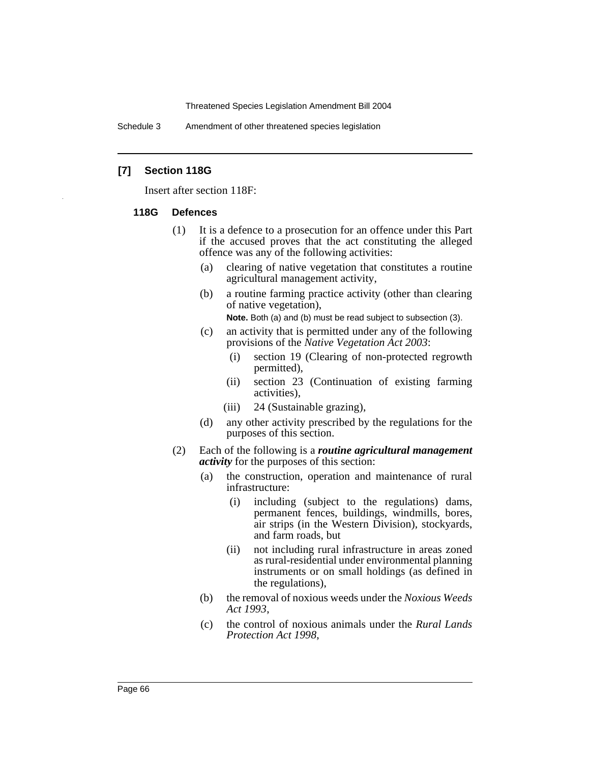Schedule 3 Amendment of other threatened species legislation

#### **[7] Section 118G**

Insert after section 118F:

#### **118G Defences**

- (1) It is a defence to a prosecution for an offence under this Part if the accused proves that the act constituting the alleged offence was any of the following activities:
	- (a) clearing of native vegetation that constitutes a routine agricultural management activity,
	- (b) a routine farming practice activity (other than clearing of native vegetation),

**Note.** Both (a) and (b) must be read subject to subsection (3).

- (c) an activity that is permitted under any of the following provisions of the *Native Vegetation Act 2003*:
	- (i) section 19 (Clearing of non-protected regrowth permitted),
	- (ii) section 23 (Continuation of existing farming activities),
	- (iii) 24 (Sustainable grazing),
- (d) any other activity prescribed by the regulations for the purposes of this section.
- (2) Each of the following is a *routine agricultural management activity* for the purposes of this section:
	- (a) the construction, operation and maintenance of rural infrastructure:
		- (i) including (subject to the regulations) dams, permanent fences, buildings, windmills, bores, air strips (in the Western Division), stockyards, and farm roads, but
		- (ii) not including rural infrastructure in areas zoned as rural-residential under environmental planning instruments or on small holdings (as defined in the regulations),
	- (b) the removal of noxious weeds under the *Noxious Weeds Act 1993*,
	- (c) the control of noxious animals under the *Rural Lands Protection Act 1998*,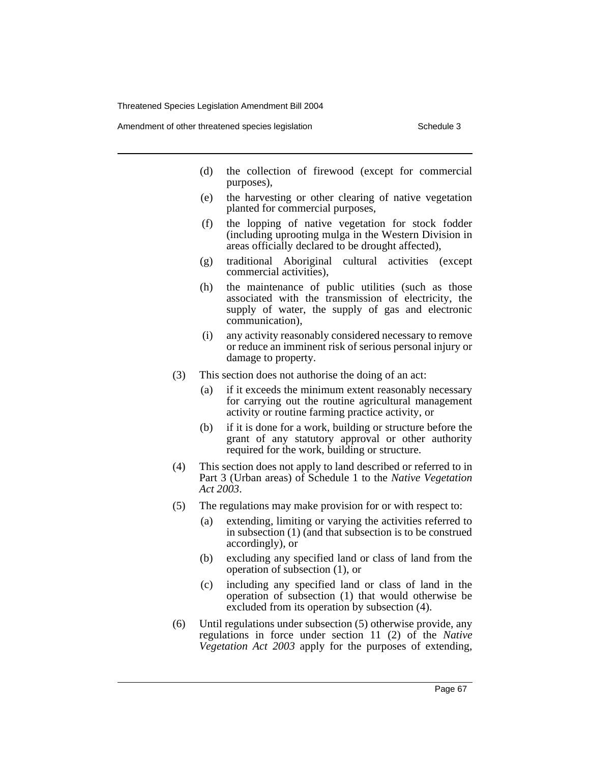Amendment of other threatened species legislation Schedule 3

- (d) the collection of firewood (except for commercial purposes),
- (e) the harvesting or other clearing of native vegetation planted for commercial purposes,
- (f) the lopping of native vegetation for stock fodder (including uprooting mulga in the Western Division in areas officially declared to be drought affected),
- (g) traditional Aboriginal cultural activities (except commercial activities),
- (h) the maintenance of public utilities (such as those associated with the transmission of electricity, the supply of water, the supply of gas and electronic communication),
- (i) any activity reasonably considered necessary to remove or reduce an imminent risk of serious personal injury or damage to property.
- (3) This section does not authorise the doing of an act:
	- (a) if it exceeds the minimum extent reasonably necessary for carrying out the routine agricultural management activity or routine farming practice activity, or
	- (b) if it is done for a work, building or structure before the grant of any statutory approval or other authority required for the work, building or structure.
- (4) This section does not apply to land described or referred to in Part 3 (Urban areas) of Schedule 1 to the *Native Vegetation Act 2003*.
- (5) The regulations may make provision for or with respect to:
	- (a) extending, limiting or varying the activities referred to in subsection (1) (and that subsection is to be construed accordingly), or
	- (b) excluding any specified land or class of land from the operation of subsection (1), or
	- (c) including any specified land or class of land in the operation of subsection (1) that would otherwise be excluded from its operation by subsection (4).
- (6) Until regulations under subsection (5) otherwise provide, any regulations in force under section 11 (2) of the *Native Vegetation Act 2003* apply for the purposes of extending,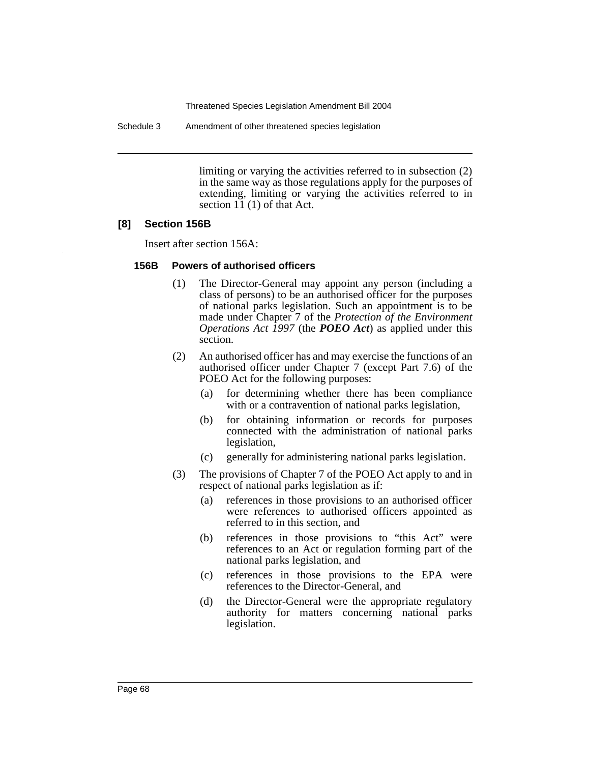Schedule 3 Amendment of other threatened species legislation

limiting or varying the activities referred to in subsection (2) in the same way as those regulations apply for the purposes of extending, limiting or varying the activities referred to in section 11 (1) of that Act.

## **[8] Section 156B**

Insert after section 156A:

#### **156B Powers of authorised officers**

- (1) The Director-General may appoint any person (including a class of persons) to be an authorised officer for the purposes of national parks legislation. Such an appointment is to be made under Chapter 7 of the *Protection of the Environment Operations Act 1997* (the *POEO Act*) as applied under this section.
- (2) An authorised officer has and may exercise the functions of an authorised officer under Chapter 7 (except Part 7.6) of the POEO Act for the following purposes:
	- (a) for determining whether there has been compliance with or a contravention of national parks legislation,
	- (b) for obtaining information or records for purposes connected with the administration of national parks legislation,
	- (c) generally for administering national parks legislation.
- (3) The provisions of Chapter 7 of the POEO Act apply to and in respect of national parks legislation as if:
	- (a) references in those provisions to an authorised officer were references to authorised officers appointed as referred to in this section, and
	- (b) references in those provisions to "this Act" were references to an Act or regulation forming part of the national parks legislation, and
	- (c) references in those provisions to the EPA were references to the Director-General, and
	- (d) the Director-General were the appropriate regulatory authority for matters concerning national parks legislation.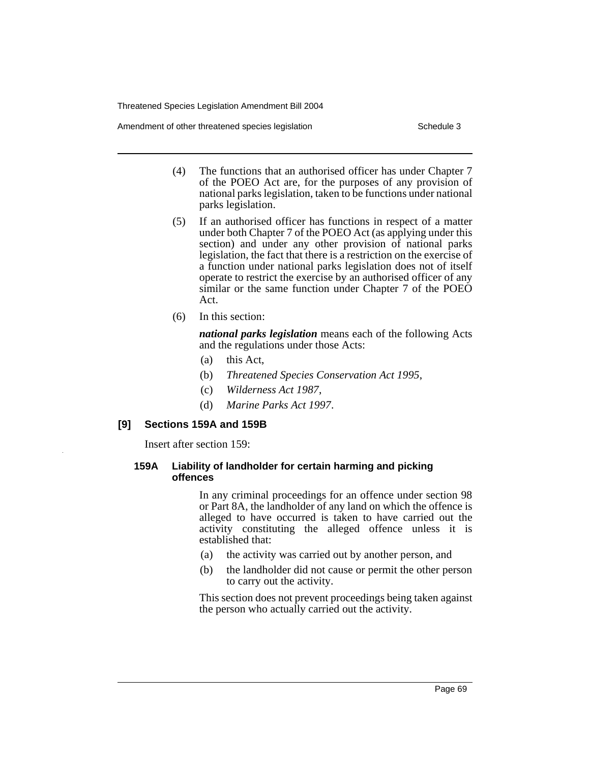Amendment of other threatened species legislation Schedule 3

- (4) The functions that an authorised officer has under Chapter 7 of the POEO Act are, for the purposes of any provision of national parks legislation, taken to be functions under national parks legislation.
- (5) If an authorised officer has functions in respect of a matter under both Chapter 7 of the POEO Act (as applying under this section) and under any other provision of national parks legislation, the fact that there is a restriction on the exercise of a function under national parks legislation does not of itself operate to restrict the exercise by an authorised officer of any similar or the same function under Chapter 7 of the POEO Act.
- (6) In this section:

*national parks legislation* means each of the following Acts and the regulations under those Acts:

- (a) this Act,
- (b) *Threatened Species Conservation Act 1995*,
- (c) *Wilderness Act 1987*,
- (d) *Marine Parks Act 1997*.

## **[9] Sections 159A and 159B**

Insert after section 159:

## **159A Liability of landholder for certain harming and picking offences**

In any criminal proceedings for an offence under section 98 or Part 8A, the landholder of any land on which the offence is alleged to have occurred is taken to have carried out the activity constituting the alleged offence unless it is established that:

- (a) the activity was carried out by another person, and
- (b) the landholder did not cause or permit the other person to carry out the activity.

This section does not prevent proceedings being taken against the person who actually carried out the activity.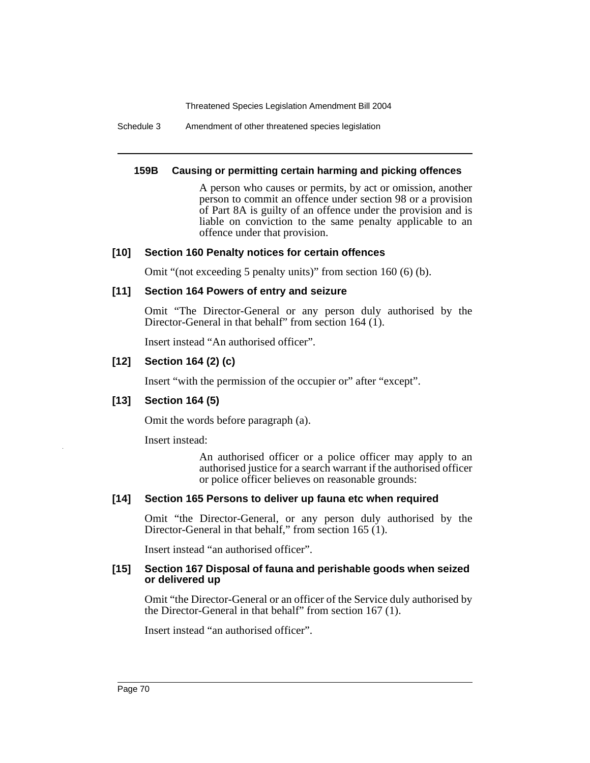Schedule 3 Amendment of other threatened species legislation

#### **159B Causing or permitting certain harming and picking offences**

A person who causes or permits, by act or omission, another person to commit an offence under section 98 or a provision of Part 8A is guilty of an offence under the provision and is liable on conviction to the same penalty applicable to an offence under that provision.

## **[10] Section 160 Penalty notices for certain offences**

Omit "(not exceeding 5 penalty units)" from section 160 (6) (b).

## **[11] Section 164 Powers of entry and seizure**

Omit "The Director-General or any person duly authorised by the Director-General in that behalf" from section 164 (1).

Insert instead "An authorised officer".

# **[12] Section 164 (2) (c)**

Insert "with the permission of the occupier or" after "except".

## **[13] Section 164 (5)**

Omit the words before paragraph (a).

Insert instead:

An authorised officer or a police officer may apply to an authorised justice for a search warrant if the authorised officer or police officer believes on reasonable grounds:

## **[14] Section 165 Persons to deliver up fauna etc when required**

Omit "the Director-General, or any person duly authorised by the Director-General in that behalf," from section 165 (1).

Insert instead "an authorised officer".

#### **[15] Section 167 Disposal of fauna and perishable goods when seized or delivered up**

Omit "the Director-General or an officer of the Service duly authorised by the Director-General in that behalf" from section 167 (1).

Insert instead "an authorised officer".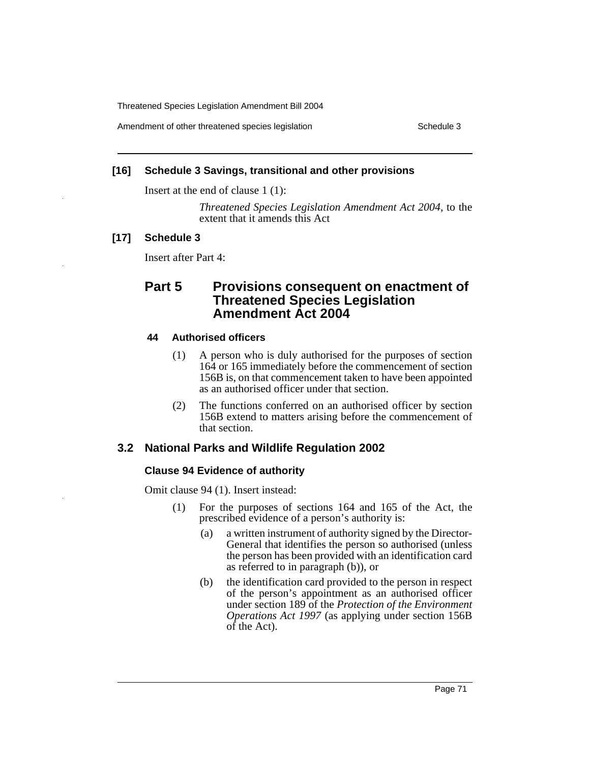Amendment of other threatened species legislation Schedule 3

#### **[16] Schedule 3 Savings, transitional and other provisions**

Insert at the end of clause 1 (1):

*Threatened Species Legislation Amendment Act 2004*, to the extent that it amends this Act

## **[17] Schedule 3**

Insert after Part 4:

# **Part 5 Provisions consequent on enactment of Threatened Species Legislation Amendment Act 2004**

#### **44 Authorised officers**

- (1) A person who is duly authorised for the purposes of section 164 or 165 immediately before the commencement of section 156B is, on that commencement taken to have been appointed as an authorised officer under that section.
- (2) The functions conferred on an authorised officer by section 156B extend to matters arising before the commencement of that section.

## **3.2 National Parks and Wildlife Regulation 2002**

#### **Clause 94 Evidence of authority**

Omit clause 94 (1). Insert instead:

- (1) For the purposes of sections 164 and 165 of the Act, the prescribed evidence of a person's authority is:
	- (a) a written instrument of authority signed by the Director-General that identifies the person so authorised (unless the person has been provided with an identification card as referred to in paragraph (b)), or
	- (b) the identification card provided to the person in respect of the person's appointment as an authorised officer under section 189 of the *Protection of the Environment Operations Act 1997* (as applying under section 156B of the Act).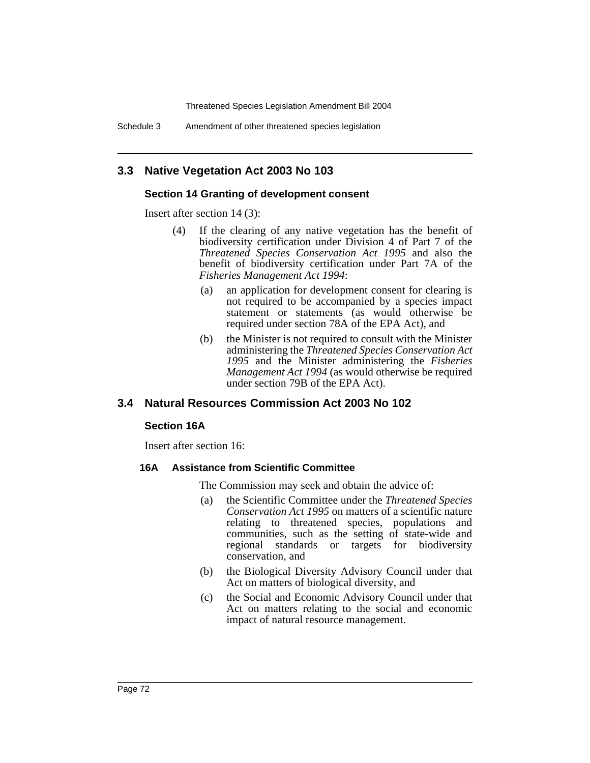Threatened Species Legislation Amendment Bill 2004

Schedule 3 Amendment of other threatened species legislation

## **3.3 Native Vegetation Act 2003 No 103**

#### **Section 14 Granting of development consent**

Insert after section 14 (3):

- (4) If the clearing of any native vegetation has the benefit of biodiversity certification under Division 4 of Part 7 of the *Threatened Species Conservation Act 1995* and also the benefit of biodiversity certification under Part 7A of the *Fisheries Management Act 1994*:
	- (a) an application for development consent for clearing is not required to be accompanied by a species impact statement or statements (as would otherwise be required under section 78A of the EPA Act), and
	- (b) the Minister is not required to consult with the Minister administering the *Threatened Species Conservation Act 1995* and the Minister administering the *Fisheries Management Act 1994* (as would otherwise be required under section 79B of the EPA Act).

### **3.4 Natural Resources Commission Act 2003 No 102**

#### **Section 16A**

Insert after section 16:

#### **16A Assistance from Scientific Committee**

The Commission may seek and obtain the advice of:

- (a) the Scientific Committee under the *Threatened Species Conservation Act 1995* on matters of a scientific nature relating to threatened species, populations and communities, such as the setting of state-wide and regional standards or targets for biodiversity conservation, and
- (b) the Biological Diversity Advisory Council under that Act on matters of biological diversity, and
- (c) the Social and Economic Advisory Council under that Act on matters relating to the social and economic impact of natural resource management.